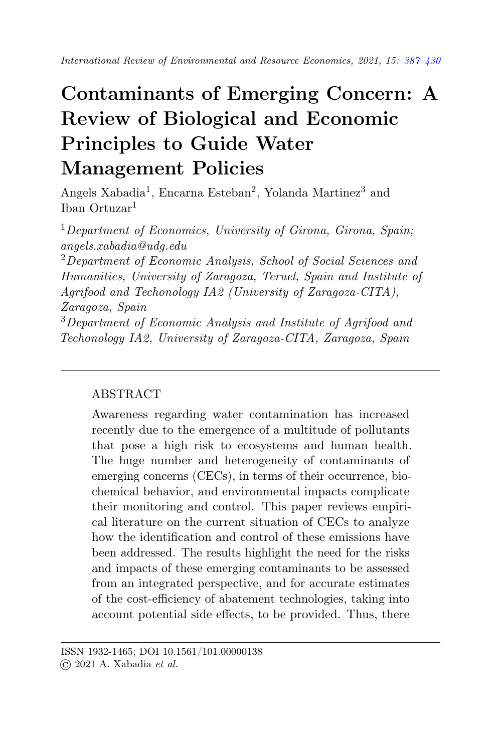# <span id="page-0-0"></span>Contaminants of Emerging Concern: A Review of Biological and Economic Principles to Guide Water Management Policies

Angels Xabadia<sup>1</sup>, Encarna Esteban<sup>2</sup>, Yolanda Martinez<sup>3</sup> and Iban Ortuzar<sup>1</sup>

<sup>1</sup>Department of Economics, University of Girona, Girona, Spain; angels.xabadia@udg.edu

<sup>2</sup>Department of Economic Analysis, School of Social Sciences and Humanities, University of Zaragoza, Teruel, Spain and Institute of Agrifood and Techonology IA2 (University of Zaragoza-CITA), Zaragoza, Spain

<sup>3</sup>Department of Economic Analysis and Institute of Agrifood and Techonology IA2, University of Zaragoza-CITA, Zaragoza, Spain

# ABSTRACT

Awareness regarding water contamination has increased recently due to the emergence of a multitude of pollutants that pose a high risk to ecosystems and human health. The huge number and heterogeneity of contaminants of emerging concerns (CECs), in terms of their occurrence, biochemical behavior, and environmental impacts complicate their monitoring and control. This paper reviews empirical literature on the current situation of CECs to analyze how the identification and control of these emissions have been addressed. The results highlight the need for the risks and impacts of these emerging contaminants to be assessed from an integrated perspective, and for accurate estimates of the cost-efficiency of abatement technologies, taking into account potential side effects, to be provided. Thus, there

ISSN 1932-1465; DOI 10.1561/101.00000138 © 2021 A. Xabadia et al.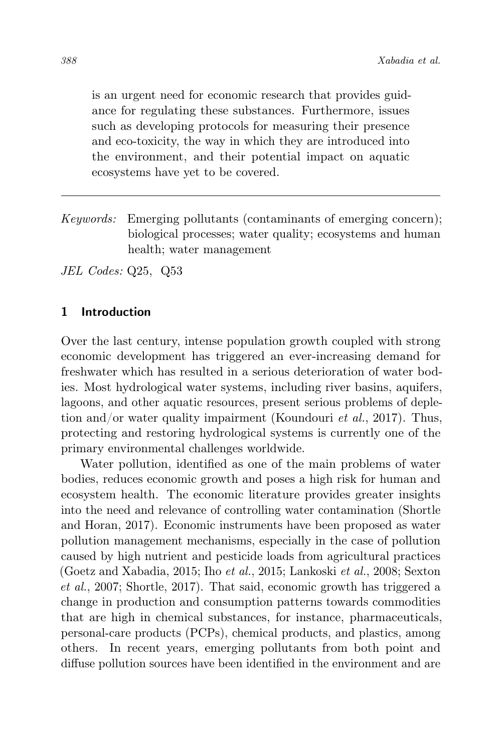is an urgent need for economic research that provides guidance for regulating these substances. Furthermore, issues such as developing protocols for measuring their presence and eco-toxicity, the way in which they are introduced into the environment, and their potential impact on aquatic ecosystems have yet to be covered.

Keywords: Emerging pollutants (contaminants of emerging concern); biological processes; water quality; ecosystems and human health; water management

JEL Codes: Q25, Q53

## 1 Introduction

Over the last century, intense population growth coupled with strong economic development has triggered an ever-increasing demand for freshwater which has resulted in a serious deterioration of water bodies. Most hydrological water systems, including river basins, aquifers, lagoons, and other aquatic resources, present serious problems of depletion and/or water quality impairment (Koundouri et al., 2017). Thus, protecting and restoring hydrological systems is currently one of the primary environmental challenges worldwide.

Water pollution, identified as one of the main problems of water bodies, reduces economic growth and poses a high risk for human and ecosystem health. The economic literature provides greater insights into the need and relevance of controlling water contamination (Shortle and Horan, 2017). Economic instruments have been proposed as water pollution management mechanisms, especially in the case of pollution caused by high nutrient and pesticide loads from agricultural practices (Goetz and Xabadia, 2015; Iho et al., 2015; Lankoski et al., 2008; Sexton et al., 2007; Shortle, 2017). That said, economic growth has triggered a change in production and consumption patterns towards commodities that are high in chemical substances, for instance, pharmaceuticals, personal-care products (PCPs), chemical products, and plastics, among others. In recent years, emerging pollutants from both point and diffuse pollution sources have been identified in the environment and are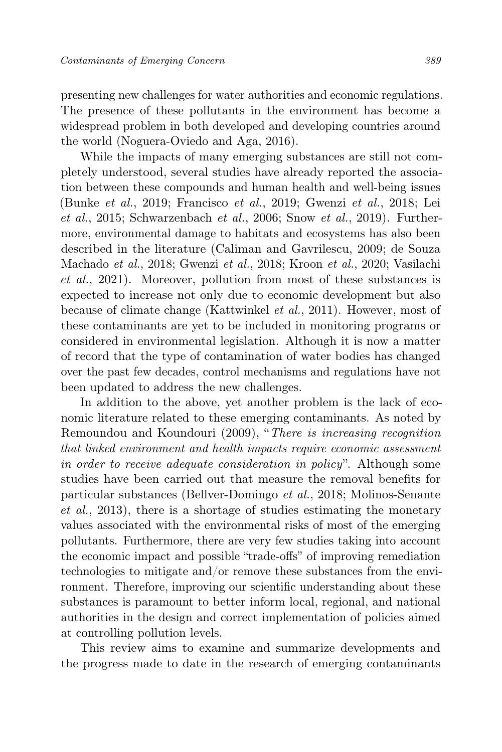presenting new challenges for water authorities and economic regulations. The presence of these pollutants in the environment has become a widespread problem in both developed and developing countries around the world (Noguera-Oviedo and Aga, 2016).

While the impacts of many emerging substances are still not completely understood, several studies have already reported the association between these compounds and human health and well-being issues (Bunke et al., 2019; Francisco et al., 2019; Gwenzi et al., 2018; Lei  $et \ al., 2015$ ; Schwarzenbach  $et \ al., 2006$ ; Snow  $et \ al., 2019$ ). Furthermore, environmental damage to habitats and ecosystems has also been described in the literature (Caliman and Gavrilescu, 2009; de Souza Machado et al., 2018; Gwenzi et al., 2018; Kroon et al., 2020; Vasilachi et al., 2021). Moreover, pollution from most of these substances is expected to increase not only due to economic development but also because of climate change (Kattwinkel et al., 2011). However, most of these contaminants are yet to be included in monitoring programs or considered in environmental legislation. Although it is now a matter of record that the type of contamination of water bodies has changed over the past few decades, control mechanisms and regulations have not been updated to address the new challenges.

In addition to the above, yet another problem is the lack of economic literature related to these emerging contaminants. As noted by Remoundou and Koundouri (2009), "There is increasing recognition that linked environment and health impacts require economic assessment in order to receive adequate consideration in policy". Although some studies have been carried out that measure the removal benefits for particular substances (Bellver-Domingo et al., 2018; Molinos-Senante et al., 2013), there is a shortage of studies estimating the monetary values associated with the environmental risks of most of the emerging pollutants. Furthermore, there are very few studies taking into account the economic impact and possible "trade-offs" of improving remediation technologies to mitigate and/or remove these substances from the environment. Therefore, improving our scientific understanding about these substances is paramount to better inform local, regional, and national authorities in the design and correct implementation of policies aimed at controlling pollution levels.

This review aims to examine and summarize developments and the progress made to date in the research of emerging contaminants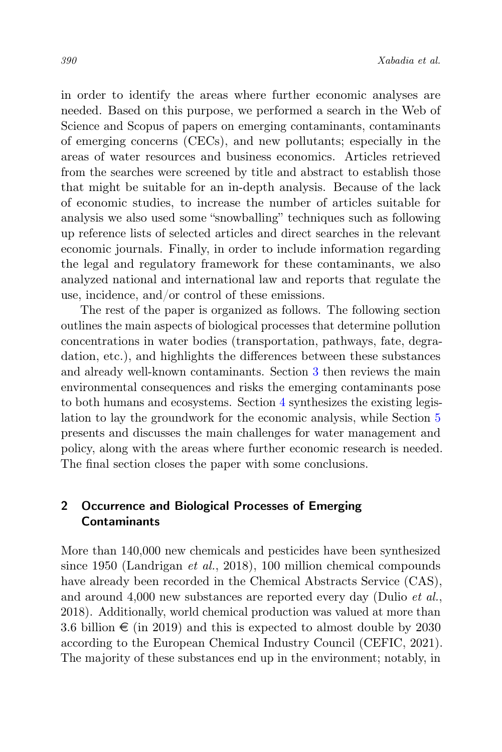in order to identify the areas where further economic analyses are needed. Based on this purpose, we performed a search in the Web of Science and Scopus of papers on emerging contaminants, contaminants of emerging concerns (CECs), and new pollutants; especially in the areas of water resources and business economics. Articles retrieved from the searches were screened by title and abstract to establish those that might be suitable for an in-depth analysis. Because of the lack of economic studies, to increase the number of articles suitable for analysis we also used some "snowballing" techniques such as following up reference lists of selected articles and direct searches in the relevant economic journals. Finally, in order to include information regarding the legal and regulatory framework for these contaminants, we also analyzed national and international law and reports that regulate the use, incidence, and/or control of these emissions.

The rest of the paper is organized as follows. The following section outlines the main aspects of biological processes that determine pollution concentrations in water bodies (transportation, pathways, fate, degradation, etc.), and highlights the differences between these substances and already well-known contaminants. Section [3](#page-8-0) then reviews the main environmental consequences and risks the emerging contaminants pose to both humans and ecosystems. Section [4](#page-11-0) synthesizes the existing legislation to lay the groundwork for the economic analysis, while Section [5](#page-15-0) presents and discusses the main challenges for water management and policy, along with the areas where further economic research is needed. The final section closes the paper with some conclusions.

## <span id="page-3-0"></span>2 Occurrence and Biological Processes of Emerging **Contaminants**

More than 140,000 new chemicals and pesticides have been synthesized since 1950 (Landrigan et al., 2018), 100 million chemical compounds have already been recorded in the Chemical Abstracts Service (CAS), and around 4,000 new substances are reported every day (Dulio et al., 2018). Additionally, world chemical production was valued at more than 3.6 billion  $\epsilon$  (in 2019) and this is expected to almost double by 2030 according to the European Chemical Industry Council (CEFIC, 2021). The majority of these substances end up in the environment; notably, in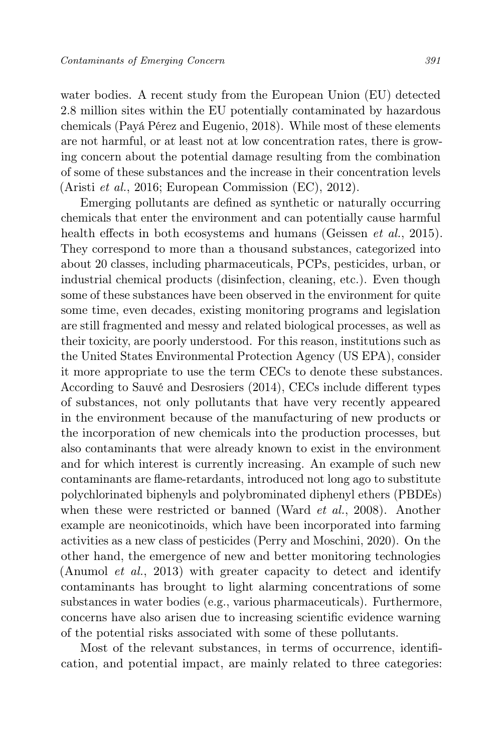water bodies. A recent study from the European Union (EU) detected 2.8 million sites within the EU potentially contaminated by hazardous chemicals (Payá Pérez and Eugenio, 2018). While most of these elements are not harmful, or at least not at low concentration rates, there is growing concern about the potential damage resulting from the combination of some of these substances and the increase in their concentration levels (Aristi et al., 2016; European Commission (EC), 2012).

Emerging pollutants are defined as synthetic or naturally occurring chemicals that enter the environment and can potentially cause harmful health effects in both ecosystems and humans (Geissen *et al.*, 2015). They correspond to more than a thousand substances, categorized into about 20 classes, including pharmaceuticals, PCPs, pesticides, urban, or industrial chemical products (disinfection, cleaning, etc.). Even though some of these substances have been observed in the environment for quite some time, even decades, existing monitoring programs and legislation are still fragmented and messy and related biological processes, as well as their toxicity, are poorly understood. For this reason, institutions such as the United States Environmental Protection Agency (US EPA), consider it more appropriate to use the term CECs to denote these substances. According to Sauvé and Desrosiers (2014), CECs include different types of substances, not only pollutants that have very recently appeared in the environment because of the manufacturing of new products or the incorporation of new chemicals into the production processes, but also contaminants that were already known to exist in the environment and for which interest is currently increasing. An example of such new contaminants are flame-retardants, introduced not long ago to substitute polychlorinated biphenyls and polybrominated diphenyl ethers (PBDEs) when these were restricted or banned (Ward *et al.*, 2008). Another example are neonicotinoids, which have been incorporated into farming activities as a new class of pesticides (Perry and Moschini, 2020). On the other hand, the emergence of new and better monitoring technologies (Anumol et al., 2013) with greater capacity to detect and identify contaminants has brought to light alarming concentrations of some substances in water bodies (e.g., various pharmaceuticals). Furthermore, concerns have also arisen due to increasing scientific evidence warning of the potential risks associated with some of these pollutants.

Most of the relevant substances, in terms of occurrence, identification, and potential impact, are mainly related to three categories: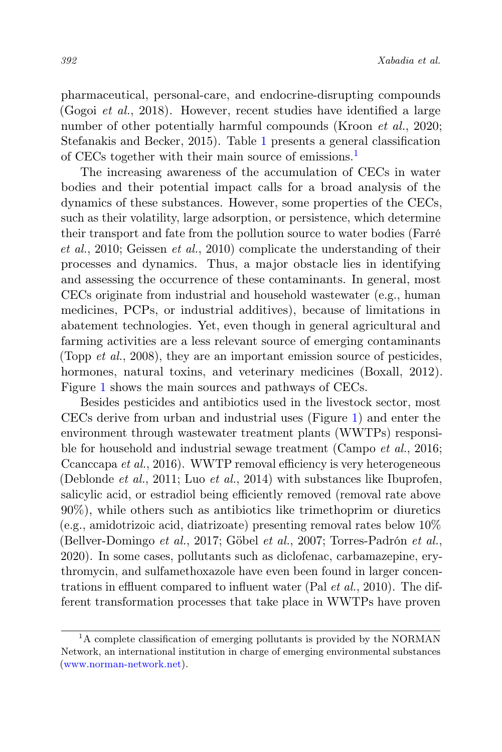pharmaceutical, personal-care, and endocrine-disrupting compounds (Gogoi et al., 2018). However, recent studies have identified a large number of other potentially harmful compounds (Kroon *et al.*, 2020; Stefanakis and Becker, 2015). Table [1](#page-6-0) presents a general classification of CECs together with their main source of emissions.<sup>[1](#page-5-0)</sup>

The increasing awareness of the accumulation of CECs in water bodies and their potential impact calls for a broad analysis of the dynamics of these substances. However, some properties of the CECs, such as their volatility, large adsorption, or persistence, which determine their transport and fate from the pollution source to water bodies (Farré et al., 2010; Geissen et al., 2010) complicate the understanding of their processes and dynamics. Thus, a major obstacle lies in identifying and assessing the occurrence of these contaminants. In general, most CECs originate from industrial and household wastewater (e.g., human medicines, PCPs, or industrial additives), because of limitations in abatement technologies. Yet, even though in general agricultural and farming activities are a less relevant source of emerging contaminants (Topp *et al.*, 2008), they are an important emission source of pesticides, hormones, natural toxins, and veterinary medicines (Boxall, 2012). Figure [1](#page-7-0) shows the main sources and pathways of CECs.

Besides pesticides and antibiotics used in the livestock sector, most CECs derive from urban and industrial uses (Figure [1\)](#page-7-0) and enter the environment through wastewater treatment plants (WWTPs) responsible for household and industrial sewage treatment (Campo *et al.*, 2016; Ccanccapa et al., 2016). WWTP removal efficiency is very heterogeneous (Deblonde et al., 2011; Luo et al., 2014) with substances like Ibuprofen, salicylic acid, or estradiol being efficiently removed (removal rate above 90%), while others such as antibiotics like trimethoprim or diuretics (e.g., amidotrizoic acid, diatrizoate) presenting removal rates below 10% (Bellver-Domingo et al., 2017; Göbel et al., 2007; Torres-Padrón et al., 2020). In some cases, pollutants such as diclofenac, carbamazepine, erythromycin, and sulfamethoxazole have even been found in larger concentrations in effluent compared to influent water (Pal et al., 2010). The different transformation processes that take place in WWTPs have proven

<span id="page-5-0"></span><sup>&</sup>lt;sup>1</sup>A complete classification of emerging pollutants is provided by the NORMAN Network, an international institution in charge of emerging environmental substances [\(www.norman-network.net\)](https://www.norman-network.net).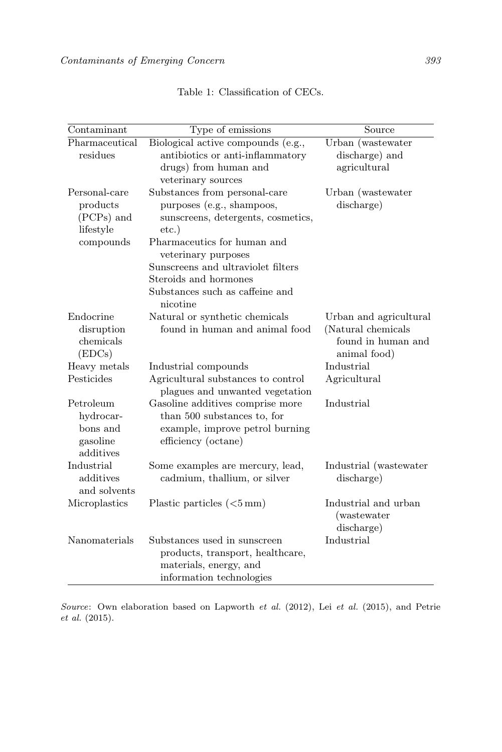<span id="page-6-0"></span>

| Contaminant                                                       | Type of emissions                                                                                                                                                                                                                                                                | $\overline{\text{Source}}$                                                         |
|-------------------------------------------------------------------|----------------------------------------------------------------------------------------------------------------------------------------------------------------------------------------------------------------------------------------------------------------------------------|------------------------------------------------------------------------------------|
| Pharmaceutical<br>residues                                        | Biological active compounds (e.g.,<br>antibiotics or anti-inflammatory<br>drugs) from human and<br>veterinary sources                                                                                                                                                            | Urban (wastewater<br>discharge) and<br>agricultural                                |
| Personal-care<br>products<br>(PCPs) and<br>lifestyle<br>compounds | Substances from personal-care<br>purposes (e.g., shampoos,<br>sunscreens, detergents, cosmetics,<br>$etc.$ )<br>Pharmaceutics for human and<br>veterinary purposes<br>Sunscreens and ultraviolet filters<br>Steroids and hormones<br>Substances such as caffeine and<br>nicotine | Urban (wastewater<br>discharge)                                                    |
| Endocrine<br>disruption<br>chemicals<br>(EDCs)                    | Natural or synthetic chemicals<br>found in human and animal food                                                                                                                                                                                                                 | Urban and agricultural<br>(Natural chemicals<br>found in human and<br>animal food) |
| Heavy metals                                                      | Industrial compounds                                                                                                                                                                                                                                                             | Industrial                                                                         |
| Pesticides                                                        | Agricultural substances to control<br>plagues and unwanted vegetation                                                                                                                                                                                                            | Agricultural                                                                       |
| Petroleum<br>hydrocar-<br>bons and<br>gasoline<br>additives       | Gasoline additives comprise more<br>than 500 substances to, for<br>example, improve petrol burning<br>efficiency (octane)                                                                                                                                                        | Industrial                                                                         |
| Industrial<br>additives<br>and solvents                           | Some examples are mercury, lead,<br>cadmium, thallium, or silver                                                                                                                                                                                                                 | Industrial (wastewater<br>discharge)                                               |
| Microplastics                                                     | Plastic particles $(<5 \,\mathrm{mm})$                                                                                                                                                                                                                                           | Industrial and urban<br><i>(wastewater)</i><br>discharge)                          |
| Nanomaterials                                                     | Substances used in sunscreen<br>products, transport, healthcare,<br>materials, energy, and<br>information technologies                                                                                                                                                           | Industrial                                                                         |

Table 1: Classification of CECs.

Source: Own elaboration based on Lapworth et al. (2012), Lei et al. (2015), and Petrie et al. (2015).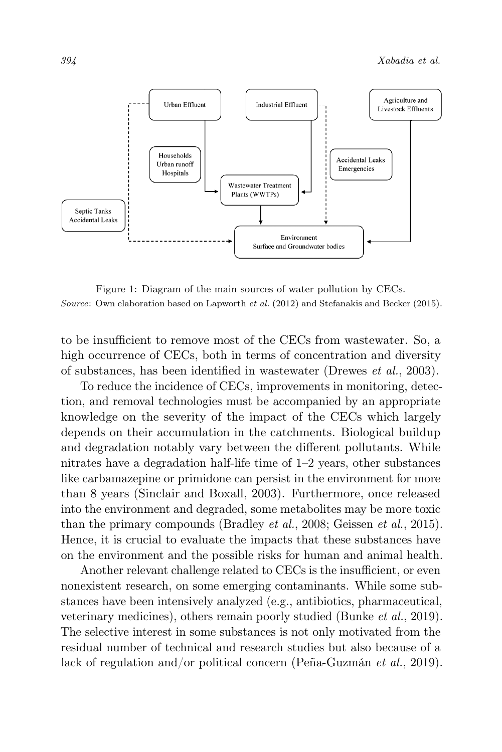<span id="page-7-0"></span>

Figure 1: Diagram of the main sources of water pollution by CECs. Source: Own elaboration based on Lapworth *et al.* (2012) and Stefanakis and Becker (2015).

to be insufficient to remove most of the CECs from wastewater. So, a high occurrence of CECs, both in terms of concentration and diversity of substances, has been identified in wastewater (Drewes et al., 2003).

To reduce the incidence of CECs, improvements in monitoring, detection, and removal technologies must be accompanied by an appropriate knowledge on the severity of the impact of the CECs which largely depends on their accumulation in the catchments. Biological buildup and degradation notably vary between the different pollutants. While nitrates have a degradation half-life time of 1–2 years, other substances like carbamazepine or primidone can persist in the environment for more than 8 years (Sinclair and Boxall, 2003). Furthermore, once released into the environment and degraded, some metabolites may be more toxic than the primary compounds (Bradley et al., 2008; Geissen et al., 2015). Hence, it is crucial to evaluate the impacts that these substances have on the environment and the possible risks for human and animal health.

Another relevant challenge related to CECs is the insufficient, or even nonexistent research, on some emerging contaminants. While some substances have been intensively analyzed (e.g., antibiotics, pharmaceutical, veterinary medicines), others remain poorly studied (Bunke et al., 2019). The selective interest in some substances is not only motivated from the residual number of technical and research studies but also because of a lack of regulation and/or political concern (Peña-Guzmán et al., 2019).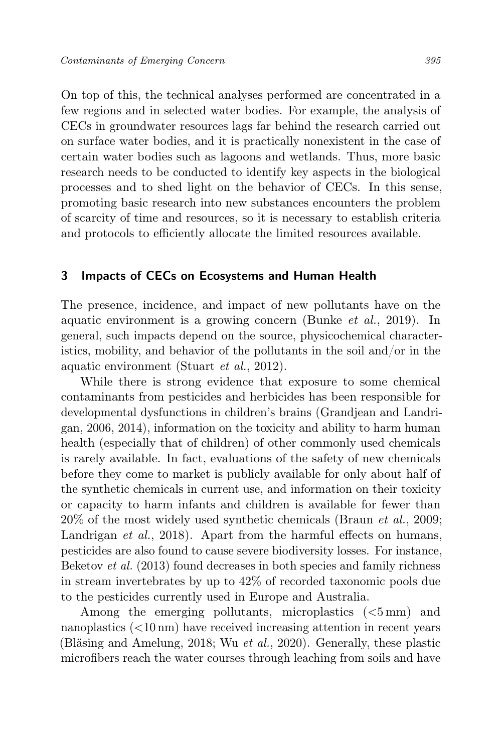On top of this, the technical analyses performed are concentrated in a few regions and in selected water bodies. For example, the analysis of CECs in groundwater resources lags far behind the research carried out on surface water bodies, and it is practically nonexistent in the case of certain water bodies such as lagoons and wetlands. Thus, more basic research needs to be conducted to identify key aspects in the biological processes and to shed light on the behavior of CECs. In this sense, promoting basic research into new substances encounters the problem of scarcity of time and resources, so it is necessary to establish criteria and protocols to efficiently allocate the limited resources available.

## <span id="page-8-0"></span>3 Impacts of CECs on Ecosystems and Human Health

The presence, incidence, and impact of new pollutants have on the aquatic environment is a growing concern (Bunke et al., 2019). In general, such impacts depend on the source, physicochemical characteristics, mobility, and behavior of the pollutants in the soil and/or in the aquatic environment (Stuart et al., 2012).

While there is strong evidence that exposure to some chemical contaminants from pesticides and herbicides has been responsible for developmental dysfunctions in children's brains (Grandjean and Landrigan, 2006, 2014), information on the toxicity and ability to harm human health (especially that of children) of other commonly used chemicals is rarely available. In fact, evaluations of the safety of new chemicals before they come to market is publicly available for only about half of the synthetic chemicals in current use, and information on their toxicity or capacity to harm infants and children is available for fewer than  $20\%$  of the most widely used synthetic chemicals (Braun *et al.*, 2009; Landrigan *et al.*, 2018). Apart from the harmful effects on humans, pesticides are also found to cause severe biodiversity losses. For instance, Beketov et al. (2013) found decreases in both species and family richness in stream invertebrates by up to 42% of recorded taxonomic pools due to the pesticides currently used in Europe and Australia.

Among the emerging pollutants, microplastics (<5 mm) and nanoplastics (<10 nm) have received increasing attention in recent years (Bläsing and Amelung, 2018; Wu et al., 2020). Generally, these plastic microfibers reach the water courses through leaching from soils and have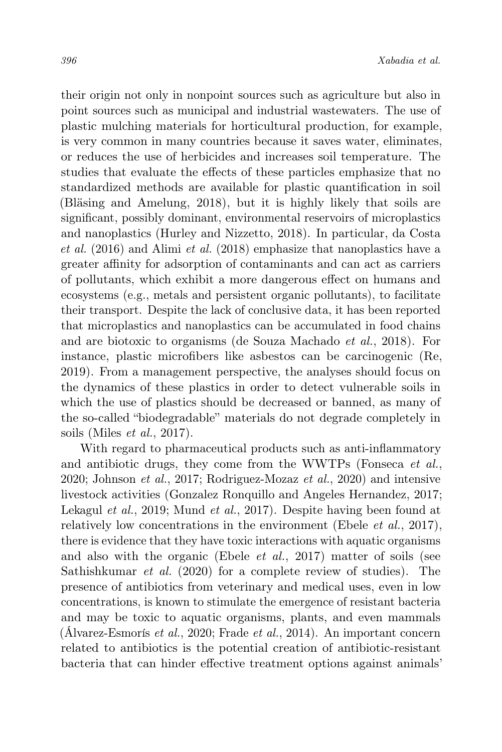their origin not only in nonpoint sources such as agriculture but also in point sources such as municipal and industrial wastewaters. The use of plastic mulching materials for horticultural production, for example, is very common in many countries because it saves water, eliminates, or reduces the use of herbicides and increases soil temperature. The studies that evaluate the effects of these particles emphasize that no standardized methods are available for plastic quantification in soil (Bläsing and Amelung, 2018), but it is highly likely that soils are significant, possibly dominant, environmental reservoirs of microplastics and nanoplastics (Hurley and Nizzetto, 2018). In particular, da Costa et al. (2016) and Alimi et al. (2018) emphasize that nanoplastics have a greater affinity for adsorption of contaminants and can act as carriers of pollutants, which exhibit a more dangerous effect on humans and ecosystems (e.g., metals and persistent organic pollutants), to facilitate their transport. Despite the lack of conclusive data, it has been reported that microplastics and nanoplastics can be accumulated in food chains and are biotoxic to organisms (de Souza Machado et al., 2018). For instance, plastic microfibers like asbestos can be carcinogenic (Re, 2019). From a management perspective, the analyses should focus on the dynamics of these plastics in order to detect vulnerable soils in which the use of plastics should be decreased or banned, as many of the so-called "biodegradable" materials do not degrade completely in soils (Miles et al., 2017).

With regard to pharmaceutical products such as anti-inflammatory and antibiotic drugs, they come from the WWTPs (Fonseca et al., 2020; Johnson et al., 2017; Rodriguez-Mozaz et al., 2020) and intensive livestock activities (Gonzalez Ronquillo and Angeles Hernandez, 2017; Lekagul et al., 2019; Mund et al., 2017). Despite having been found at relatively low concentrations in the environment (Ebele *et al.*, 2017), there is evidence that they have toxic interactions with aquatic organisms and also with the organic (Ebele et al., 2017) matter of soils (see Sathishkumar et al. (2020) for a complete review of studies). The presence of antibiotics from veterinary and medical uses, even in low concentrations, is known to stimulate the emergence of resistant bacteria and may be toxic to aquatic organisms, plants, and even mammals  $(\text{Álvarez-Esmorís et al., 2020; Frade et al., 2014}).$  An important concern related to antibiotics is the potential creation of antibiotic-resistant bacteria that can hinder effective treatment options against animals'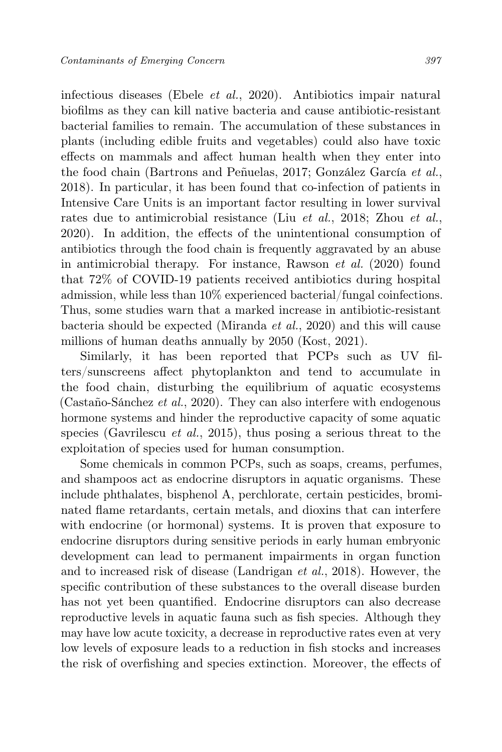infectious diseases (Ebele et al., 2020). Antibiotics impair natural biofilms as they can kill native bacteria and cause antibiotic-resistant bacterial families to remain. The accumulation of these substances in plants (including edible fruits and vegetables) could also have toxic effects on mammals and affect human health when they enter into the food chain (Bartrons and Peñuelas, 2017; González García et al., 2018). In particular, it has been found that co-infection of patients in Intensive Care Units is an important factor resulting in lower survival rates due to antimicrobial resistance (Liu et al., 2018; Zhou et al., 2020). In addition, the effects of the unintentional consumption of antibiotics through the food chain is frequently aggravated by an abuse in antimicrobial therapy. For instance, Rawson et al. (2020) found that 72% of COVID-19 patients received antibiotics during hospital admission, while less than 10% experienced bacterial/fungal coinfections. Thus, some studies warn that a marked increase in antibiotic-resistant bacteria should be expected (Miranda et al., 2020) and this will cause millions of human deaths annually by 2050 (Kost, 2021).

Similarly, it has been reported that PCPs such as UV filters/sunscreens affect phytoplankton and tend to accumulate in the food chain, disturbing the equilibrium of aquatic ecosystems (Castaño-Sánchez et al., 2020). They can also interfere with endogenous hormone systems and hinder the reproductive capacity of some aquatic species (Gavrilescu *et al.*, 2015), thus posing a serious threat to the exploitation of species used for human consumption.

Some chemicals in common PCPs, such as soaps, creams, perfumes, and shampoos act as endocrine disruptors in aquatic organisms. These include phthalates, bisphenol A, perchlorate, certain pesticides, brominated flame retardants, certain metals, and dioxins that can interfere with endocrine (or hormonal) systems. It is proven that exposure to endocrine disruptors during sensitive periods in early human embryonic development can lead to permanent impairments in organ function and to increased risk of disease (Landrigan et al., 2018). However, the specific contribution of these substances to the overall disease burden has not yet been quantified. Endocrine disruptors can also decrease reproductive levels in aquatic fauna such as fish species. Although they may have low acute toxicity, a decrease in reproductive rates even at very low levels of exposure leads to a reduction in fish stocks and increases the risk of overfishing and species extinction. Moreover, the effects of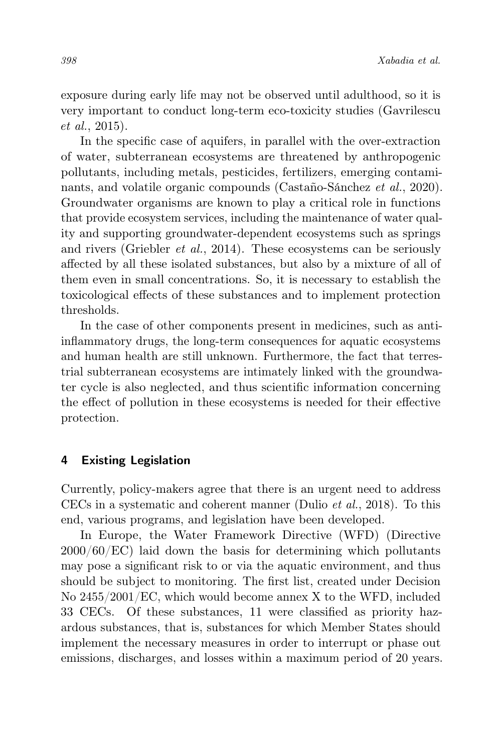exposure during early life may not be observed until adulthood, so it is very important to conduct long-term eco-toxicity studies (Gavrilescu et al., 2015).

In the specific case of aquifers, in parallel with the over-extraction of water, subterranean ecosystems are threatened by anthropogenic pollutants, including metals, pesticides, fertilizers, emerging contaminants, and volatile organic compounds (Castaño-Sánchez et al., 2020). Groundwater organisms are known to play a critical role in functions that provide ecosystem services, including the maintenance of water quality and supporting groundwater-dependent ecosystems such as springs and rivers (Griebler et al., 2014). These ecosystems can be seriously affected by all these isolated substances, but also by a mixture of all of them even in small concentrations. So, it is necessary to establish the toxicological effects of these substances and to implement protection thresholds.

In the case of other components present in medicines, such as antiinflammatory drugs, the long-term consequences for aquatic ecosystems and human health are still unknown. Furthermore, the fact that terrestrial subterranean ecosystems are intimately linked with the groundwater cycle is also neglected, and thus scientific information concerning the effect of pollution in these ecosystems is needed for their effective protection.

## <span id="page-11-0"></span>4 Existing Legislation

Currently, policy-makers agree that there is an urgent need to address CECs in a systematic and coherent manner (Dulio et al., 2018). To this end, various programs, and legislation have been developed.

In Europe, the Water Framework Directive (WFD) (Directive 2000/60/EC) laid down the basis for determining which pollutants may pose a significant risk to or via the aquatic environment, and thus should be subject to monitoring. The first list, created under Decision No 2455/2001/EC, which would become annex X to the WFD, included 33 CECs. Of these substances, 11 were classified as priority hazardous substances, that is, substances for which Member States should implement the necessary measures in order to interrupt or phase out emissions, discharges, and losses within a maximum period of 20 years.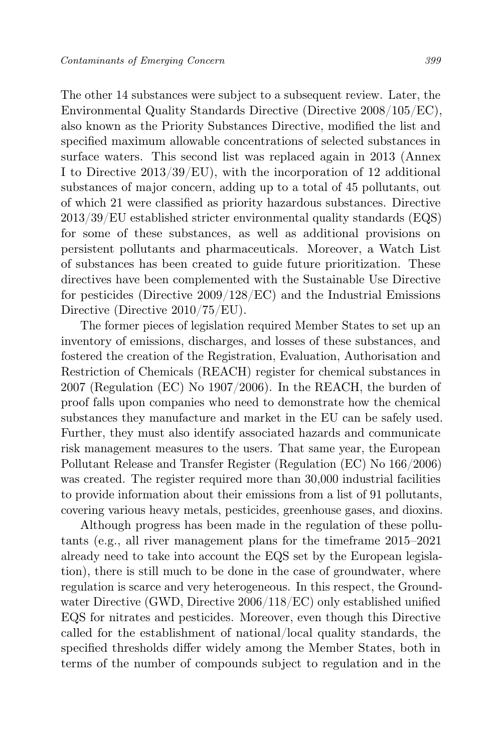The other 14 substances were subject to a subsequent review. Later, the Environmental Quality Standards Directive (Directive 2008/105/EC), also known as the Priority Substances Directive, modified the list and specified maximum allowable concentrations of selected substances in surface waters. This second list was replaced again in 2013 (Annex I to Directive 2013/39/EU), with the incorporation of 12 additional substances of major concern, adding up to a total of 45 pollutants, out of which 21 were classified as priority hazardous substances. Directive 2013/39/EU established stricter environmental quality standards (EQS) for some of these substances, as well as additional provisions on persistent pollutants and pharmaceuticals. Moreover, a Watch List of substances has been created to guide future prioritization. These directives have been complemented with the Sustainable Use Directive for pesticides (Directive 2009/128/EC) and the Industrial Emissions Directive (Directive 2010/75/EU).

The former pieces of legislation required Member States to set up an inventory of emissions, discharges, and losses of these substances, and fostered the creation of the Registration, Evaluation, Authorisation and Restriction of Chemicals (REACH) register for chemical substances in 2007 (Regulation (EC) No 1907/2006). In the REACH, the burden of proof falls upon companies who need to demonstrate how the chemical substances they manufacture and market in the EU can be safely used. Further, they must also identify associated hazards and communicate risk management measures to the users. That same year, the European Pollutant Release and Transfer Register (Regulation (EC) No 166/2006) was created. The register required more than 30,000 industrial facilities to provide information about their emissions from a list of 91 pollutants, covering various heavy metals, pesticides, greenhouse gases, and dioxins.

Although progress has been made in the regulation of these pollutants (e.g., all river management plans for the timeframe 2015–2021 already need to take into account the EQS set by the European legislation), there is still much to be done in the case of groundwater, where regulation is scarce and very heterogeneous. In this respect, the Groundwater Directive (GWD, Directive 2006/118/EC) only established unified EQS for nitrates and pesticides. Moreover, even though this Directive called for the establishment of national/local quality standards, the specified thresholds differ widely among the Member States, both in terms of the number of compounds subject to regulation and in the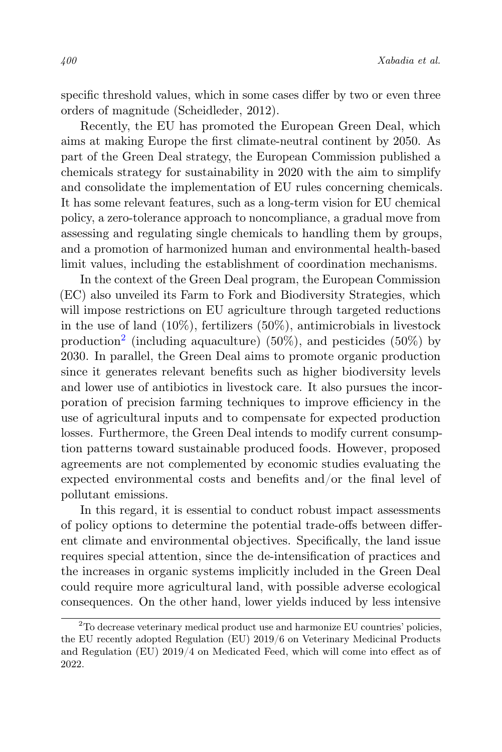specific threshold values, which in some cases differ by two or even three orders of magnitude (Scheidleder, 2012).

Recently, the EU has promoted the European Green Deal, which aims at making Europe the first climate-neutral continent by 2050. As part of the Green Deal strategy, the European Commission published a chemicals strategy for sustainability in 2020 with the aim to simplify and consolidate the implementation of EU rules concerning chemicals. It has some relevant features, such as a long-term vision for EU chemical policy, a zero-tolerance approach to noncompliance, a gradual move from assessing and regulating single chemicals to handling them by groups, and a promotion of harmonized human and environmental health-based limit values, including the establishment of coordination mechanisms.

In the context of the Green Deal program, the European Commission (EC) also unveiled its Farm to Fork and Biodiversity Strategies, which will impose restrictions on EU agriculture through targeted reductions in the use of land  $(10\%)$ , fertilizers  $(50\%)$ , antimicrobials in livestock production<sup>[2](#page-13-0)</sup> (including aquaculture) (50%), and pesticides (50%) by 2030. In parallel, the Green Deal aims to promote organic production since it generates relevant benefits such as higher biodiversity levels and lower use of antibiotics in livestock care. It also pursues the incorporation of precision farming techniques to improve efficiency in the use of agricultural inputs and to compensate for expected production losses. Furthermore, the Green Deal intends to modify current consumption patterns toward sustainable produced foods. However, proposed agreements are not complemented by economic studies evaluating the expected environmental costs and benefits and/or the final level of pollutant emissions.

In this regard, it is essential to conduct robust impact assessments of policy options to determine the potential trade-offs between different climate and environmental objectives. Specifically, the land issue requires special attention, since the de-intensification of practices and the increases in organic systems implicitly included in the Green Deal could require more agricultural land, with possible adverse ecological consequences. On the other hand, lower yields induced by less intensive

<span id="page-13-0"></span><sup>&</sup>lt;sup>2</sup>To decrease veterinary medical product use and harmonize EU countries' policies, the EU recently adopted Regulation (EU) 2019/6 on Veterinary Medicinal Products and Regulation (EU) 2019/4 on Medicated Feed, which will come into effect as of 2022.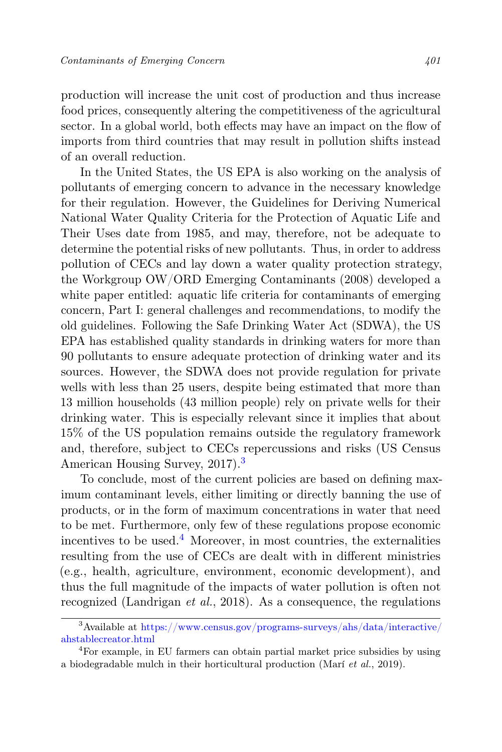production will increase the unit cost of production and thus increase food prices, consequently altering the competitiveness of the agricultural sector. In a global world, both effects may have an impact on the flow of imports from third countries that may result in pollution shifts instead of an overall reduction.

In the United States, the US EPA is also working on the analysis of pollutants of emerging concern to advance in the necessary knowledge for their regulation. However, the Guidelines for Deriving Numerical National Water Quality Criteria for the Protection of Aquatic Life and Their Uses date from 1985, and may, therefore, not be adequate to determine the potential risks of new pollutants. Thus, in order to address pollution of CECs and lay down a water quality protection strategy, the Workgroup OW/ORD Emerging Contaminants (2008) developed a white paper entitled: aquatic life criteria for contaminants of emerging concern, Part I: general challenges and recommendations, to modify the old guidelines. Following the Safe Drinking Water Act (SDWA), the US EPA has established quality standards in drinking waters for more than 90 pollutants to ensure adequate protection of drinking water and its sources. However, the SDWA does not provide regulation for private wells with less than 25 users, despite being estimated that more than 13 million households (43 million people) rely on private wells for their drinking water. This is especially relevant since it implies that about 15% of the US population remains outside the regulatory framework and, therefore, subject to CECs repercussions and risks (US Census American Housing Survey, 2017).<sup>[3](#page-14-0)</sup>

To conclude, most of the current policies are based on defining maximum contaminant levels, either limiting or directly banning the use of products, or in the form of maximum concentrations in water that need to be met. Furthermore, only few of these regulations propose economic incentives to be used. $4$  Moreover, in most countries, the externalities resulting from the use of CECs are dealt with in different ministries (e.g., health, agriculture, environment, economic development), and thus the full magnitude of the impacts of water pollution is often not recognized (Landrigan et al., 2018). As a consequence, the regulations

<span id="page-14-0"></span><sup>&</sup>lt;sup>3</sup>Available at [https://www.census.gov/programs-surveys/ahs/data/interactive/](https://www.census.gov/programs-surveys/ahs/data/interactive/ahstablecreator.html) [ahstablecreator.html](https://www.census.gov/programs-surveys/ahs/data/interactive/ahstablecreator.html)

<span id="page-14-1"></span><sup>4</sup>For example, in EU farmers can obtain partial market price subsidies by using a biodegradable mulch in their horticultural production (Marí et al., 2019).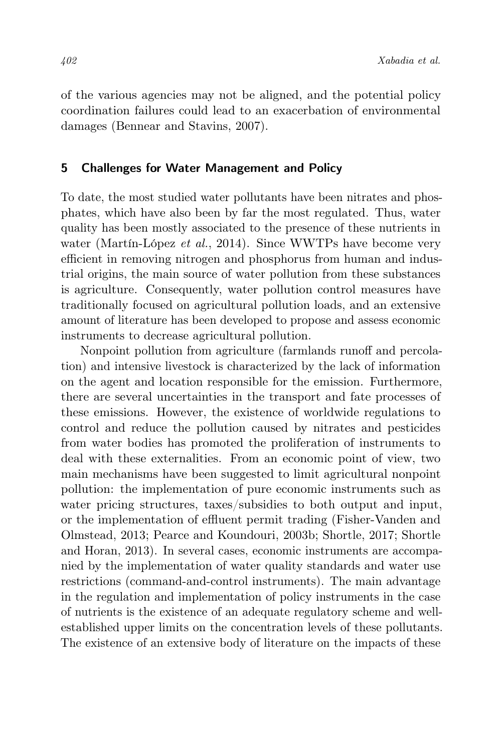of the various agencies may not be aligned, and the potential policy coordination failures could lead to an exacerbation of environmental damages (Bennear and Stavins, 2007).

#### <span id="page-15-0"></span>5 Challenges for Water Management and Policy

To date, the most studied water pollutants have been nitrates and phosphates, which have also been by far the most regulated. Thus, water quality has been mostly associated to the presence of these nutrients in water (Martín-López *et al.*, 2014). Since WWTPs have become very efficient in removing nitrogen and phosphorus from human and industrial origins, the main source of water pollution from these substances is agriculture. Consequently, water pollution control measures have traditionally focused on agricultural pollution loads, and an extensive amount of literature has been developed to propose and assess economic instruments to decrease agricultural pollution.

Nonpoint pollution from agriculture (farmlands runoff and percolation) and intensive livestock is characterized by the lack of information on the agent and location responsible for the emission. Furthermore, there are several uncertainties in the transport and fate processes of these emissions. However, the existence of worldwide regulations to control and reduce the pollution caused by nitrates and pesticides from water bodies has promoted the proliferation of instruments to deal with these externalities. From an economic point of view, two main mechanisms have been suggested to limit agricultural nonpoint pollution: the implementation of pure economic instruments such as water pricing structures, taxes/subsidies to both output and input, or the implementation of effluent permit trading (Fisher-Vanden and Olmstead, 2013; Pearce and Koundouri, 2003b; Shortle, 2017; Shortle and Horan, 2013). In several cases, economic instruments are accompanied by the implementation of water quality standards and water use restrictions (command-and-control instruments). The main advantage in the regulation and implementation of policy instruments in the case of nutrients is the existence of an adequate regulatory scheme and wellestablished upper limits on the concentration levels of these pollutants. The existence of an extensive body of literature on the impacts of these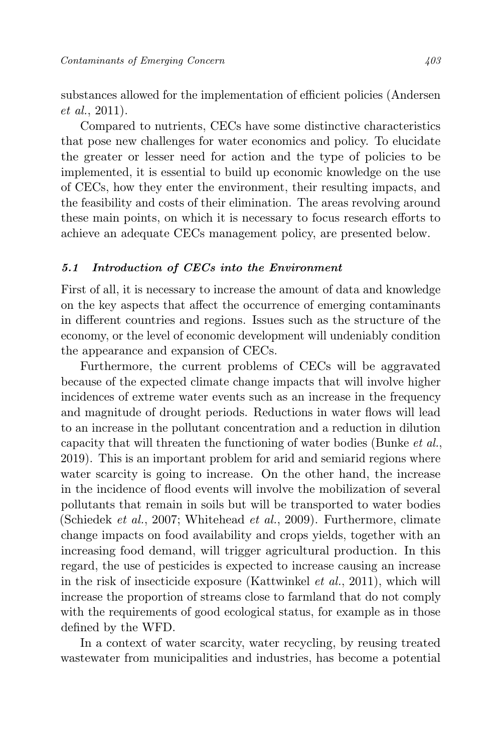substances allowed for the implementation of efficient policies (Andersen et al., 2011).

Compared to nutrients, CECs have some distinctive characteristics that pose new challenges for water economics and policy. To elucidate the greater or lesser need for action and the type of policies to be implemented, it is essential to build up economic knowledge on the use of CECs, how they enter the environment, their resulting impacts, and the feasibility and costs of their elimination. The areas revolving around these main points, on which it is necessary to focus research efforts to achieve an adequate CECs management policy, are presented below.

#### 5.1 Introduction of CECs into the Environment

First of all, it is necessary to increase the amount of data and knowledge on the key aspects that affect the occurrence of emerging contaminants in different countries and regions. Issues such as the structure of the economy, or the level of economic development will undeniably condition the appearance and expansion of CECs.

Furthermore, the current problems of CECs will be aggravated because of the expected climate change impacts that will involve higher incidences of extreme water events such as an increase in the frequency and magnitude of drought periods. Reductions in water flows will lead to an increase in the pollutant concentration and a reduction in dilution capacity that will threaten the functioning of water bodies (Bunke et al., 2019). This is an important problem for arid and semiarid regions where water scarcity is going to increase. On the other hand, the increase in the incidence of flood events will involve the mobilization of several pollutants that remain in soils but will be transported to water bodies (Schiedek et al., 2007; Whitehead et al., 2009). Furthermore, climate change impacts on food availability and crops yields, together with an increasing food demand, will trigger agricultural production. In this regard, the use of pesticides is expected to increase causing an increase in the risk of insecticide exposure (Kattwinkel et al., 2011), which will increase the proportion of streams close to farmland that do not comply with the requirements of good ecological status, for example as in those defined by the WFD.

In a context of water scarcity, water recycling, by reusing treated wastewater from municipalities and industries, has become a potential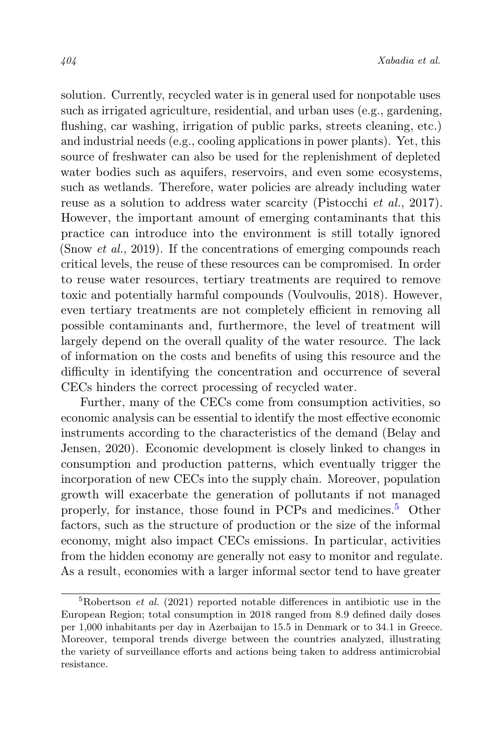solution. Currently, recycled water is in general used for nonpotable uses such as irrigated agriculture, residential, and urban uses (e.g., gardening, flushing, car washing, irrigation of public parks, streets cleaning, etc.) and industrial needs (e.g., cooling applications in power plants). Yet, this source of freshwater can also be used for the replenishment of depleted water bodies such as aquifers, reservoirs, and even some ecosystems, such as wetlands. Therefore, water policies are already including water reuse as a solution to address water scarcity (Pistocchi et al., 2017). However, the important amount of emerging contaminants that this practice can introduce into the environment is still totally ignored (Snow *et al.*, 2019). If the concentrations of emerging compounds reach critical levels, the reuse of these resources can be compromised. In order to reuse water resources, tertiary treatments are required to remove toxic and potentially harmful compounds (Voulvoulis, 2018). However, even tertiary treatments are not completely efficient in removing all possible contaminants and, furthermore, the level of treatment will largely depend on the overall quality of the water resource. The lack of information on the costs and benefits of using this resource and the difficulty in identifying the concentration and occurrence of several CECs hinders the correct processing of recycled water.

Further, many of the CECs come from consumption activities, so economic analysis can be essential to identify the most effective economic instruments according to the characteristics of the demand (Belay and Jensen, 2020). Economic development is closely linked to changes in consumption and production patterns, which eventually trigger the incorporation of new CECs into the supply chain. Moreover, population growth will exacerbate the generation of pollutants if not managed properly, for instance, those found in PCPs and medicines.<sup>[5](#page-17-0)</sup> Other factors, such as the structure of production or the size of the informal economy, might also impact CECs emissions. In particular, activities from the hidden economy are generally not easy to monitor and regulate. As a result, economies with a larger informal sector tend to have greater

<span id="page-17-0"></span> ${}^{5}$ Robertson *et al.* (2021) reported notable differences in antibiotic use in the European Region; total consumption in 2018 ranged from 8.9 defined daily doses per 1,000 inhabitants per day in Azerbaijan to 15.5 in Denmark or to 34.1 in Greece. Moreover, temporal trends diverge between the countries analyzed, illustrating the variety of surveillance efforts and actions being taken to address antimicrobial resistance.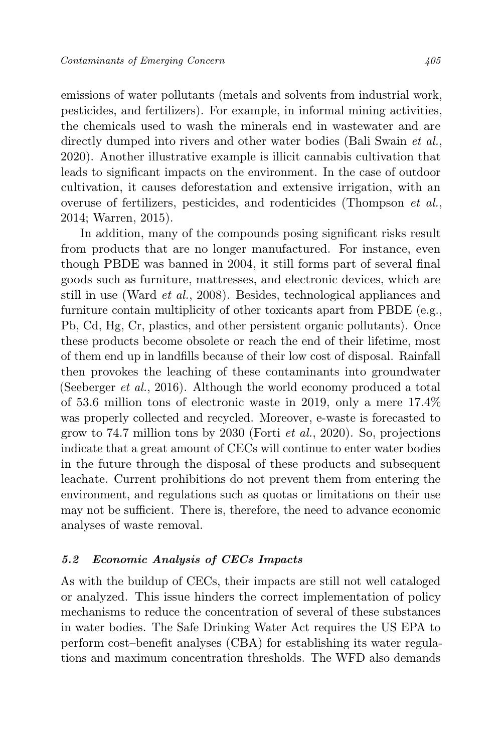emissions of water pollutants (metals and solvents from industrial work, pesticides, and fertilizers). For example, in informal mining activities, the chemicals used to wash the minerals end in wastewater and are directly dumped into rivers and other water bodies (Bali Swain *et al.*, 2020). Another illustrative example is illicit cannabis cultivation that leads to significant impacts on the environment. In the case of outdoor cultivation, it causes deforestation and extensive irrigation, with an overuse of fertilizers, pesticides, and rodenticides (Thompson et al., 2014; Warren, 2015).

In addition, many of the compounds posing significant risks result from products that are no longer manufactured. For instance, even though PBDE was banned in 2004, it still forms part of several final goods such as furniture, mattresses, and electronic devices, which are still in use (Ward et al., 2008). Besides, technological appliances and furniture contain multiplicity of other toxicants apart from PBDE (e.g., Pb, Cd, Hg, Cr, plastics, and other persistent organic pollutants). Once these products become obsolete or reach the end of their lifetime, most of them end up in landfills because of their low cost of disposal. Rainfall then provokes the leaching of these contaminants into groundwater (Seeberger *et al.*, 2016). Although the world economy produced a total of 53.6 million tons of electronic waste in 2019, only a mere 17.4% was properly collected and recycled. Moreover, e-waste is forecasted to grow to 74.7 million tons by 2030 (Forti et al., 2020). So, projections indicate that a great amount of CECs will continue to enter water bodies in the future through the disposal of these products and subsequent leachate. Current prohibitions do not prevent them from entering the environment, and regulations such as quotas or limitations on their use may not be sufficient. There is, therefore, the need to advance economic analyses of waste removal.

#### 5.2 Economic Analysis of CECs Impacts

As with the buildup of CECs, their impacts are still not well cataloged or analyzed. This issue hinders the correct implementation of policy mechanisms to reduce the concentration of several of these substances in water bodies. The Safe Drinking Water Act requires the US EPA to perform cost–benefit analyses (CBA) for establishing its water regulations and maximum concentration thresholds. The WFD also demands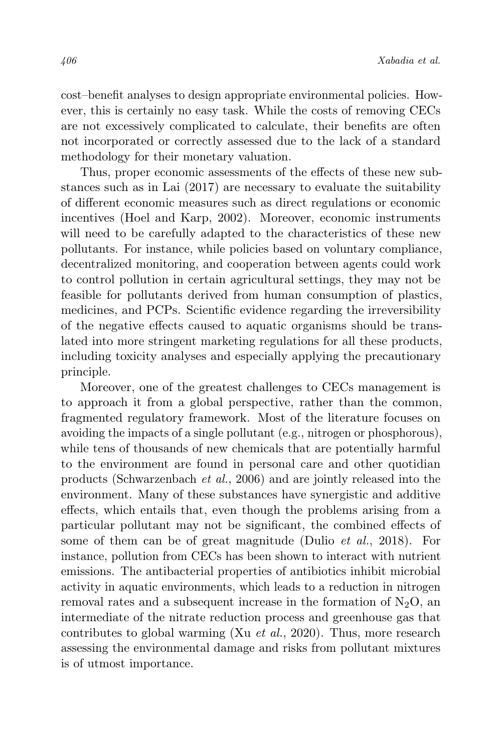cost–benefit analyses to design appropriate environmental policies. However, this is certainly no easy task. While the costs of removing CECs are not excessively complicated to calculate, their benefits are often not incorporated or correctly assessed due to the lack of a standard methodology for their monetary valuation.

Thus, proper economic assessments of the effects of these new substances such as in Lai (2017) are necessary to evaluate the suitability of different economic measures such as direct regulations or economic incentives (Hoel and Karp, 2002). Moreover, economic instruments will need to be carefully adapted to the characteristics of these new pollutants. For instance, while policies based on voluntary compliance, decentralized monitoring, and cooperation between agents could work to control pollution in certain agricultural settings, they may not be feasible for pollutants derived from human consumption of plastics, medicines, and PCPs. Scientific evidence regarding the irreversibility of the negative effects caused to aquatic organisms should be translated into more stringent marketing regulations for all these products, including toxicity analyses and especially applying the precautionary principle.

Moreover, one of the greatest challenges to CECs management is to approach it from a global perspective, rather than the common, fragmented regulatory framework. Most of the literature focuses on avoiding the impacts of a single pollutant (e.g., nitrogen or phosphorous), while tens of thousands of new chemicals that are potentially harmful to the environment are found in personal care and other quotidian products (Schwarzenbach et al., 2006) and are jointly released into the environment. Many of these substances have synergistic and additive effects, which entails that, even though the problems arising from a particular pollutant may not be significant, the combined effects of some of them can be of great magnitude (Dulio et al., 2018). For instance, pollution from CECs has been shown to interact with nutrient emissions. The antibacterial properties of antibiotics inhibit microbial activity in aquatic environments, which leads to a reduction in nitrogen removal rates and a subsequent increase in the formation of  $N_2O$ , an intermediate of the nitrate reduction process and greenhouse gas that contributes to global warming (Xu et al., 2020). Thus, more research assessing the environmental damage and risks from pollutant mixtures is of utmost importance.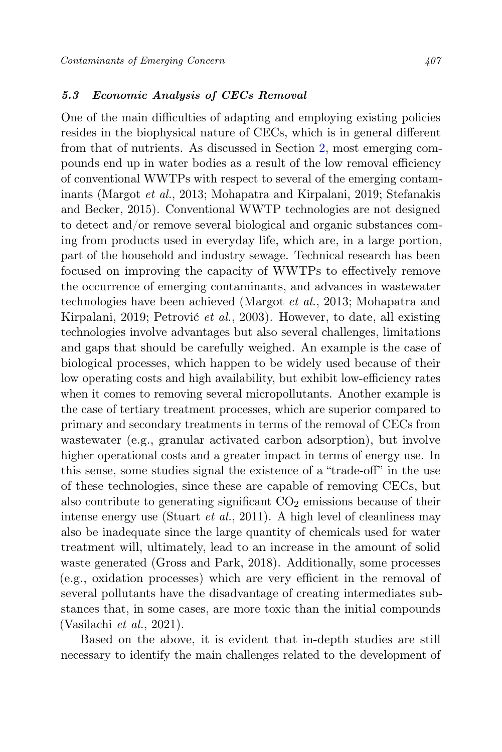## 5.3 Economic Analysis of CECs Removal

One of the main difficulties of adapting and employing existing policies resides in the biophysical nature of CECs, which is in general different from that of nutrients. As discussed in Section [2,](#page-3-0) most emerging compounds end up in water bodies as a result of the low removal efficiency of conventional WWTPs with respect to several of the emerging contaminants (Margot et al., 2013; Mohapatra and Kirpalani, 2019; Stefanakis and Becker, 2015). Conventional WWTP technologies are not designed to detect and/or remove several biological and organic substances coming from products used in everyday life, which are, in a large portion, part of the household and industry sewage. Technical research has been focused on improving the capacity of WWTPs to effectively remove the occurrence of emerging contaminants, and advances in wastewater technologies have been achieved (Margot et al., 2013; Mohapatra and Kirpalani, 2019; Petrović et al., 2003). However, to date, all existing technologies involve advantages but also several challenges, limitations and gaps that should be carefully weighed. An example is the case of biological processes, which happen to be widely used because of their low operating costs and high availability, but exhibit low-efficiency rates when it comes to removing several micropollutants. Another example is the case of tertiary treatment processes, which are superior compared to primary and secondary treatments in terms of the removal of CECs from wastewater (e.g., granular activated carbon adsorption), but involve higher operational costs and a greater impact in terms of energy use. In this sense, some studies signal the existence of a "trade-off" in the use of these technologies, since these are capable of removing CECs, but also contribute to generating significant  $CO<sub>2</sub>$  emissions because of their intense energy use (Stuart et al., 2011). A high level of cleanliness may also be inadequate since the large quantity of chemicals used for water treatment will, ultimately, lead to an increase in the amount of solid waste generated (Gross and Park, 2018). Additionally, some processes (e.g., oxidation processes) which are very efficient in the removal of several pollutants have the disadvantage of creating intermediates substances that, in some cases, are more toxic than the initial compounds (Vasilachi et al., 2021).

Based on the above, it is evident that in-depth studies are still necessary to identify the main challenges related to the development of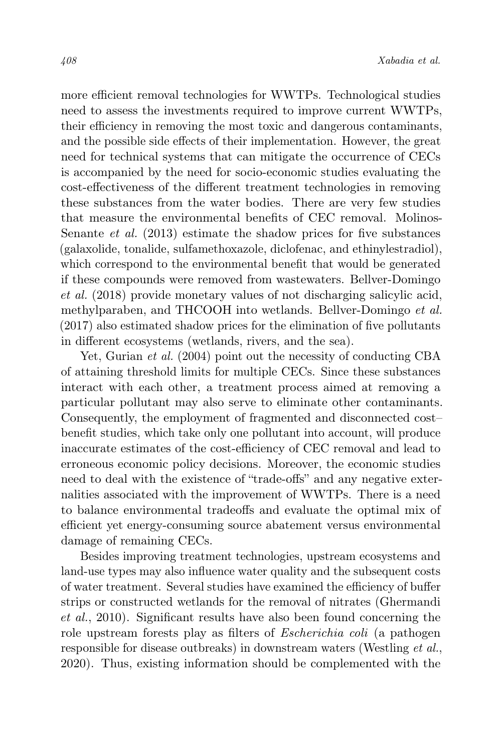more efficient removal technologies for WWTPs. Technological studies need to assess the investments required to improve current WWTPs, their efficiency in removing the most toxic and dangerous contaminants, and the possible side effects of their implementation. However, the great need for technical systems that can mitigate the occurrence of CECs is accompanied by the need for socio-economic studies evaluating the cost-effectiveness of the different treatment technologies in removing these substances from the water bodies. There are very few studies that measure the environmental benefits of CEC removal. Molinos-Senante *et al.* (2013) estimate the shadow prices for five substances (galaxolide, tonalide, sulfamethoxazole, diclofenac, and ethinylestradiol), which correspond to the environmental benefit that would be generated if these compounds were removed from wastewaters. Bellver-Domingo et al. (2018) provide monetary values of not discharging salicylic acid, methylparaben, and THCOOH into wetlands. Bellver-Domingo et al. (2017) also estimated shadow prices for the elimination of five pollutants in different ecosystems (wetlands, rivers, and the sea).

Yet, Gurian *et al.* (2004) point out the necessity of conducting CBA of attaining threshold limits for multiple CECs. Since these substances interact with each other, a treatment process aimed at removing a particular pollutant may also serve to eliminate other contaminants. Consequently, the employment of fragmented and disconnected cost– benefit studies, which take only one pollutant into account, will produce inaccurate estimates of the cost-efficiency of CEC removal and lead to erroneous economic policy decisions. Moreover, the economic studies need to deal with the existence of "trade-offs" and any negative externalities associated with the improvement of WWTPs. There is a need to balance environmental tradeoffs and evaluate the optimal mix of efficient yet energy-consuming source abatement versus environmental damage of remaining CECs.

Besides improving treatment technologies, upstream ecosystems and land-use types may also influence water quality and the subsequent costs of water treatment. Several studies have examined the efficiency of buffer strips or constructed wetlands for the removal of nitrates (Ghermandi et al., 2010). Significant results have also been found concerning the role upstream forests play as filters of Escherichia coli (a pathogen responsible for disease outbreaks) in downstream waters (Westling et al., 2020). Thus, existing information should be complemented with the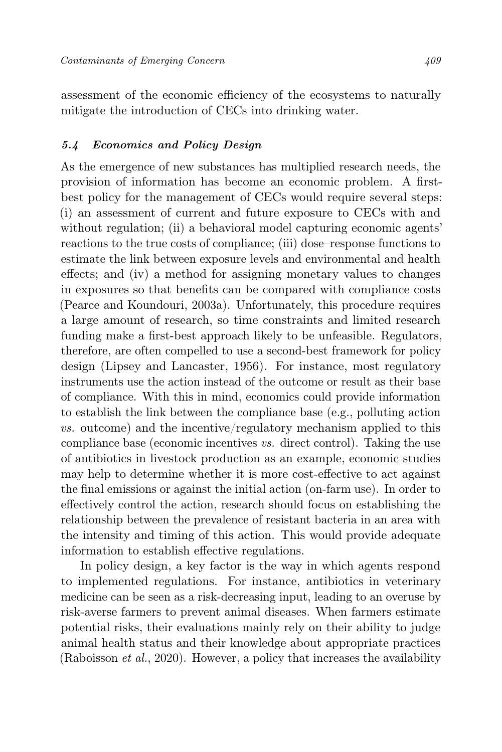assessment of the economic efficiency of the ecosystems to naturally mitigate the introduction of CECs into drinking water.

#### 5.4 Economics and Policy Design

As the emergence of new substances has multiplied research needs, the provision of information has become an economic problem. A firstbest policy for the management of CECs would require several steps: (i) an assessment of current and future exposure to CECs with and without regulation; (ii) a behavioral model capturing economic agents' reactions to the true costs of compliance; (iii) dose–response functions to estimate the link between exposure levels and environmental and health effects; and (iv) a method for assigning monetary values to changes in exposures so that benefits can be compared with compliance costs (Pearce and Koundouri, 2003a). Unfortunately, this procedure requires a large amount of research, so time constraints and limited research funding make a first-best approach likely to be unfeasible. Regulators, therefore, are often compelled to use a second-best framework for policy design (Lipsey and Lancaster, 1956). For instance, most regulatory instruments use the action instead of the outcome or result as their base of compliance. With this in mind, economics could provide information to establish the link between the compliance base (e.g., polluting action vs. outcome) and the incentive/regulatory mechanism applied to this compliance base (economic incentives vs. direct control). Taking the use of antibiotics in livestock production as an example, economic studies may help to determine whether it is more cost-effective to act against the final emissions or against the initial action (on-farm use). In order to effectively control the action, research should focus on establishing the relationship between the prevalence of resistant bacteria in an area with the intensity and timing of this action. This would provide adequate information to establish effective regulations.

In policy design, a key factor is the way in which agents respond to implemented regulations. For instance, antibiotics in veterinary medicine can be seen as a risk-decreasing input, leading to an overuse by risk-averse farmers to prevent animal diseases. When farmers estimate potential risks, their evaluations mainly rely on their ability to judge animal health status and their knowledge about appropriate practices (Raboisson *et al.*, 2020). However, a policy that increases the availability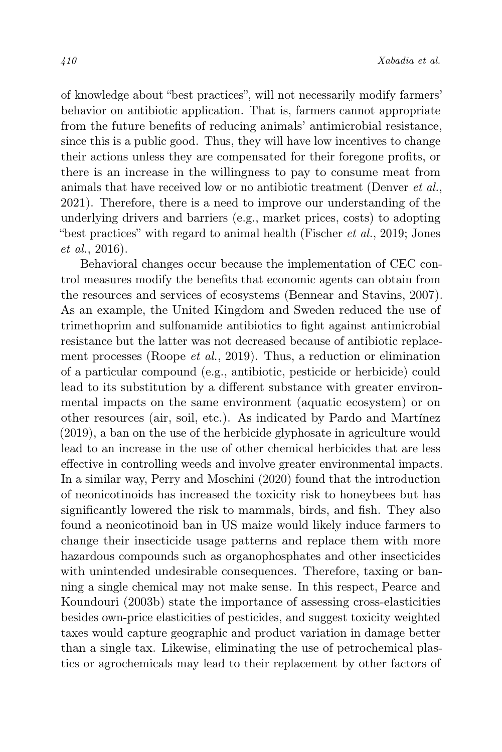of knowledge about "best practices", will not necessarily modify farmers' behavior on antibiotic application. That is, farmers cannot appropriate from the future benefits of reducing animals' antimicrobial resistance, since this is a public good. Thus, they will have low incentives to change their actions unless they are compensated for their foregone profits, or there is an increase in the willingness to pay to consume meat from animals that have received low or no antibiotic treatment (Denver et al., 2021). Therefore, there is a need to improve our understanding of the underlying drivers and barriers (e.g., market prices, costs) to adopting "best practices" with regard to animal health (Fischer *et al.*, 2019; Jones et al., 2016).

Behavioral changes occur because the implementation of CEC control measures modify the benefits that economic agents can obtain from the resources and services of ecosystems (Bennear and Stavins, 2007). As an example, the United Kingdom and Sweden reduced the use of trimethoprim and sulfonamide antibiotics to fight against antimicrobial resistance but the latter was not decreased because of antibiotic replacement processes (Roope et al., 2019). Thus, a reduction or elimination of a particular compound (e.g., antibiotic, pesticide or herbicide) could lead to its substitution by a different substance with greater environmental impacts on the same environment (aquatic ecosystem) or on other resources (air, soil, etc.). As indicated by Pardo and Martínez (2019), a ban on the use of the herbicide glyphosate in agriculture would lead to an increase in the use of other chemical herbicides that are less effective in controlling weeds and involve greater environmental impacts. In a similar way, Perry and Moschini (2020) found that the introduction of neonicotinoids has increased the toxicity risk to honeybees but has significantly lowered the risk to mammals, birds, and fish. They also found a neonicotinoid ban in US maize would likely induce farmers to change their insecticide usage patterns and replace them with more hazardous compounds such as organophosphates and other insecticides with unintended undesirable consequences. Therefore, taxing or banning a single chemical may not make sense. In this respect, Pearce and Koundouri (2003b) state the importance of assessing cross-elasticities besides own-price elasticities of pesticides, and suggest toxicity weighted taxes would capture geographic and product variation in damage better than a single tax. Likewise, eliminating the use of petrochemical plastics or agrochemicals may lead to their replacement by other factors of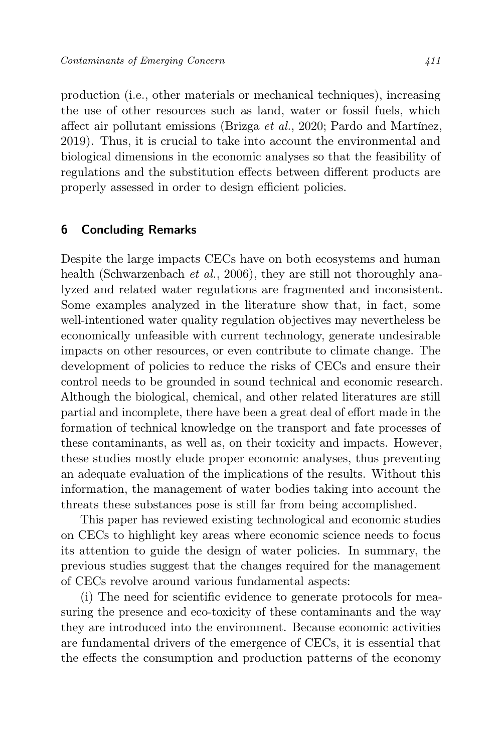production (i.e., other materials or mechanical techniques), increasing the use of other resources such as land, water or fossil fuels, which affect air pollutant emissions (Brizga et al., 2020; Pardo and Martínez, 2019). Thus, it is crucial to take into account the environmental and biological dimensions in the economic analyses so that the feasibility of regulations and the substitution effects between different products are properly assessed in order to design efficient policies.

## 6 Concluding Remarks

Despite the large impacts CECs have on both ecosystems and human health (Schwarzenbach *et al.*, 2006), they are still not thoroughly analyzed and related water regulations are fragmented and inconsistent. Some examples analyzed in the literature show that, in fact, some well-intentioned water quality regulation objectives may nevertheless be economically unfeasible with current technology, generate undesirable impacts on other resources, or even contribute to climate change. The development of policies to reduce the risks of CECs and ensure their control needs to be grounded in sound technical and economic research. Although the biological, chemical, and other related literatures are still partial and incomplete, there have been a great deal of effort made in the formation of technical knowledge on the transport and fate processes of these contaminants, as well as, on their toxicity and impacts. However, these studies mostly elude proper economic analyses, thus preventing an adequate evaluation of the implications of the results. Without this information, the management of water bodies taking into account the threats these substances pose is still far from being accomplished.

This paper has reviewed existing technological and economic studies on CECs to highlight key areas where economic science needs to focus its attention to guide the design of water policies. In summary, the previous studies suggest that the changes required for the management of CECs revolve around various fundamental aspects:

(i) The need for scientific evidence to generate protocols for measuring the presence and eco-toxicity of these contaminants and the way they are introduced into the environment. Because economic activities are fundamental drivers of the emergence of CECs, it is essential that the effects the consumption and production patterns of the economy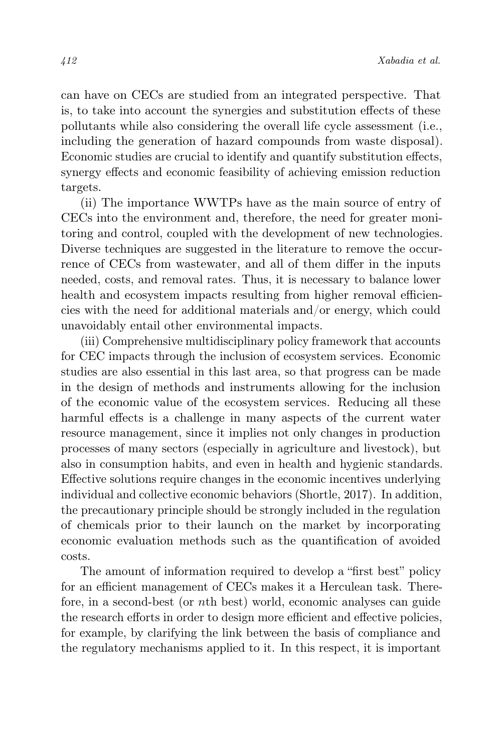can have on CECs are studied from an integrated perspective. That is, to take into account the synergies and substitution effects of these pollutants while also considering the overall life cycle assessment (i.e., including the generation of hazard compounds from waste disposal). Economic studies are crucial to identify and quantify substitution effects, synergy effects and economic feasibility of achieving emission reduction targets.

(ii) The importance WWTPs have as the main source of entry of CECs into the environment and, therefore, the need for greater monitoring and control, coupled with the development of new technologies. Diverse techniques are suggested in the literature to remove the occurrence of CECs from wastewater, and all of them differ in the inputs needed, costs, and removal rates. Thus, it is necessary to balance lower health and ecosystem impacts resulting from higher removal efficiencies with the need for additional materials and/or energy, which could unavoidably entail other environmental impacts.

(iii) Comprehensive multidisciplinary policy framework that accounts for CEC impacts through the inclusion of ecosystem services. Economic studies are also essential in this last area, so that progress can be made in the design of methods and instruments allowing for the inclusion of the economic value of the ecosystem services. Reducing all these harmful effects is a challenge in many aspects of the current water resource management, since it implies not only changes in production processes of many sectors (especially in agriculture and livestock), but also in consumption habits, and even in health and hygienic standards. Effective solutions require changes in the economic incentives underlying individual and collective economic behaviors (Shortle, 2017). In addition, the precautionary principle should be strongly included in the regulation of chemicals prior to their launch on the market by incorporating economic evaluation methods such as the quantification of avoided costs.

The amount of information required to develop a "first best" policy for an efficient management of CECs makes it a Herculean task. Therefore, in a second-best (or nth best) world, economic analyses can guide the research efforts in order to design more efficient and effective policies, for example, by clarifying the link between the basis of compliance and the regulatory mechanisms applied to it. In this respect, it is important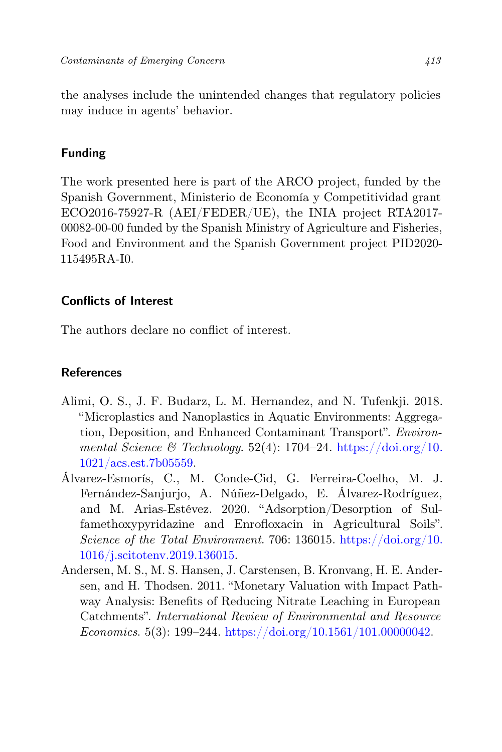the analyses include the unintended changes that regulatory policies may induce in agents' behavior.

## Funding

The work presented here is part of the ARCO project, funded by the Spanish Government, Ministerio de Economía y Competitividad grant ECO2016-75927-R (AEI/FEDER/UE), the INIA project RTA2017- 00082-00-00 funded by the Spanish Ministry of Agriculture and Fisheries, Food and Environment and the Spanish Government project PID2020- 115495RA-I0.

## Conflicts of Interest

The authors declare no conflict of interest.

## References

- Alimi, O. S., J. F. Budarz, L. M. Hernandez, and N. Tufenkji. 2018. "Microplastics and Nanoplastics in Aquatic Environments: Aggregation, Deposition, and Enhanced Contaminant Transport". Environmental Science & Technology. 52(4): 1704–24. [https://doi.org/10.](https://doi.org/10.1021/acs.est.7b05559) [1021/acs.est.7b05559.](https://doi.org/10.1021/acs.est.7b05559)
- Álvarez-Esmorís, C., M. Conde-Cid, G. Ferreira-Coelho, M. J. Fernández-Sanjurjo, A. Núñez-Delgado, E. Álvarez-Rodríguez, and M. Arias-Estévez. 2020. "Adsorption/Desorption of Sulfamethoxypyridazine and Enrofloxacin in Agricultural Soils". Science of the Total Environment. 706: 136015. [https://doi.org/10.](https://doi.org/10.1016/j.scitotenv.2019.136015) [1016/j.scitotenv.2019.136015.](https://doi.org/10.1016/j.scitotenv.2019.136015)
- Andersen, M. S., M. S. Hansen, J. Carstensen, B. Kronvang, H. E. Andersen, and H. Thodsen. 2011. "Monetary Valuation with Impact Pathway Analysis: Benefits of Reducing Nitrate Leaching in European Catchments". International Review of Environmental and Resource Economics. 5(3): 199–244. [https://doi.org/10.1561/101.00000042.](https://doi.org/10.1561/101.00000042)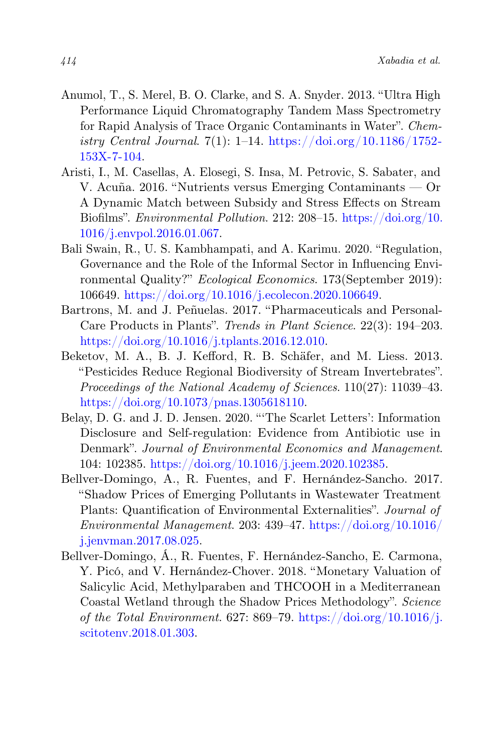- Anumol, T., S. Merel, B. O. Clarke, and S. A. Snyder. 2013. "Ultra High Performance Liquid Chromatography Tandem Mass Spectrometry for Rapid Analysis of Trace Organic Contaminants in Water". Chemistry Central Journal. 7(1): 1–14. [https://doi.org/10.1186/1752-](https://doi.org/10.1186/1752-153X-7-104) [153X-7-104.](https://doi.org/10.1186/1752-153X-7-104)
- Aristi, I., M. Casellas, A. Elosegi, S. Insa, M. Petrovic, S. Sabater, and V. Acuña. 2016. "Nutrients versus Emerging Contaminants — Or A Dynamic Match between Subsidy and Stress Effects on Stream Biofilms". Environmental Pollution. 212: 208–15. [https://doi.org/10.](https://doi.org/10.1016/j.envpol.2016.01.067) [1016/j.envpol.2016.01.067.](https://doi.org/10.1016/j.envpol.2016.01.067)
- Bali Swain, R., U. S. Kambhampati, and A. Karimu. 2020. "Regulation, Governance and the Role of the Informal Sector in Influencing Environmental Quality?" Ecological Economics. 173(September 2019): 106649. [https://doi.org/10.1016/j.ecolecon.2020.106649.](https://doi.org/10.1016/j.ecolecon.2020.106649)
- Bartrons, M. and J. Peñuelas. 2017. "Pharmaceuticals and Personal-Care Products in Plants". Trends in Plant Science. 22(3): 194–203. [https://doi.org/10.1016/j.tplants.2016.12.010.](https://doi.org/10.1016/j.tplants.2016.12.010)
- Beketov, M. A., B. J. Kefford, R. B. Schäfer, and M. Liess. 2013. "Pesticides Reduce Regional Biodiversity of Stream Invertebrates". Proceedings of the National Academy of Sciences. 110(27): 11039–43. [https://doi.org/10.1073/pnas.1305618110.](https://doi.org/10.1073/pnas.1305618110)
- Belay, D. G. and J. D. Jensen. 2020. "'The Scarlet Letters': Information Disclosure and Self-regulation: Evidence from Antibiotic use in Denmark". Journal of Environmental Economics and Management. 104: 102385. [https://doi.org/10.1016/j.jeem.2020.102385.](https://doi.org/10.1016/j.jeem.2020.102385)
- Bellver-Domingo, A., R. Fuentes, and F. Hernández-Sancho. 2017. "Shadow Prices of Emerging Pollutants in Wastewater Treatment Plants: Quantification of Environmental Externalities". Journal of Environmental Management. 203: 439-47. [https://doi.org/10.1016/](https://doi.org/10.1016/j.jenvman.2017.08.025) [j.jenvman.2017.08.025.](https://doi.org/10.1016/j.jenvman.2017.08.025)
- Bellver-Domingo, Á., R. Fuentes, F. Hernández-Sancho, E. Carmona, Y. Picó, and V. Hernández-Chover. 2018. "Monetary Valuation of Salicylic Acid, Methylparaben and THCOOH in a Mediterranean Coastal Wetland through the Shadow Prices Methodology". Science of the Total Environment. 627: 869–79. [https://doi.org/10.1016/j.](https://doi.org/10.1016/j.scitotenv.2018.01.303) [scitotenv.2018.01.303.](https://doi.org/10.1016/j.scitotenv.2018.01.303)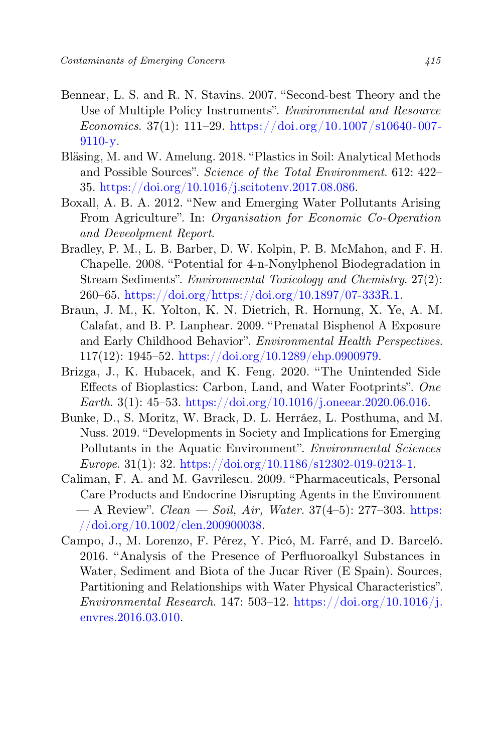- Bennear, L. S. and R. N. Stavins. 2007. "Second-best Theory and the Use of Multiple Policy Instruments". Environmental and Resource Economics. 37(1): 111–29. [https://doi.org/10.1007/s10640-007-](https://doi.org/10.1007/s10640-007-9110-y) [9110-y.](https://doi.org/10.1007/s10640-007-9110-y)
- Bläsing, M. and W. Amelung. 2018. "Plastics in Soil: Analytical Methods and Possible Sources". Science of the Total Environment. 612: 422– 35. [https://doi.org/10.1016/j.scitotenv.2017.08.086.](https://doi.org/10.1016/j.scitotenv.2017.08.086)
- Boxall, A. B. A. 2012. "New and Emerging Water Pollutants Arising From Agriculture". In: Organisation for Economic Co-Operation and Deveolpment Report.
- Bradley, P. M., L. B. Barber, D. W. Kolpin, P. B. McMahon, and F. H. Chapelle. 2008. "Potential for 4-n-Nonylphenol Biodegradation in Stream Sediments". Environmental Toxicology and Chemistry. 27(2): 260–65. [https://doi.org/https://doi.org/10.1897/07-333R.1.](https://doi.org/https://doi.org/10.1897/07-333R.1)
- Braun, J. M., K. Yolton, K. N. Dietrich, R. Hornung, X. Ye, A. M. Calafat, and B. P. Lanphear. 2009. "Prenatal Bisphenol A Exposure and Early Childhood Behavior". Environmental Health Perspectives. 117(12): 1945–52. [https://doi.org/10.1289/ehp.0900979.](https://doi.org/10.1289/ehp.0900979)
- Brizga, J., K. Hubacek, and K. Feng. 2020. "The Unintended Side Effects of Bioplastics: Carbon, Land, and Water Footprints". One Earth. 3(1): 45–53. [https://doi.org/10.1016/j.oneear.2020.06.016.](https://doi.org/10.1016/j.oneear.2020.06.016)
- Bunke, D., S. Moritz, W. Brack, D. L. Herráez, L. Posthuma, and M. Nuss. 2019. "Developments in Society and Implications for Emerging Pollutants in the Aquatic Environment". *Environmental Sciences* Europe. 31(1): 32. [https://doi.org/10.1186/s12302-019-0213-1.](https://doi.org/10.1186/s12302-019-0213-1)
- Caliman, F. A. and M. Gavrilescu. 2009. "Pharmaceuticals, Personal Care Products and Endocrine Disrupting Agents in the Environment — A Review".  $Clear - Soil$ , Air, Water. 37(4-5): 277-303. [https:](https://doi.org/10.1002/clen.200900038) [//doi.org/10.1002/clen.200900038.](https://doi.org/10.1002/clen.200900038)
- Campo, J., M. Lorenzo, F. Pérez, Y. Picó, M. Farré, and D. Barceló. 2016. "Analysis of the Presence of Perfluoroalkyl Substances in Water, Sediment and Biota of the Jucar River (E Spain). Sources, Partitioning and Relationships with Water Physical Characteristics". Environmental Research. 147: 503-12. [https://doi.org/10.1016/j.](https://doi.org/10.1016/j.envres.2016.03.010) [envres.2016.03.010.](https://doi.org/10.1016/j.envres.2016.03.010)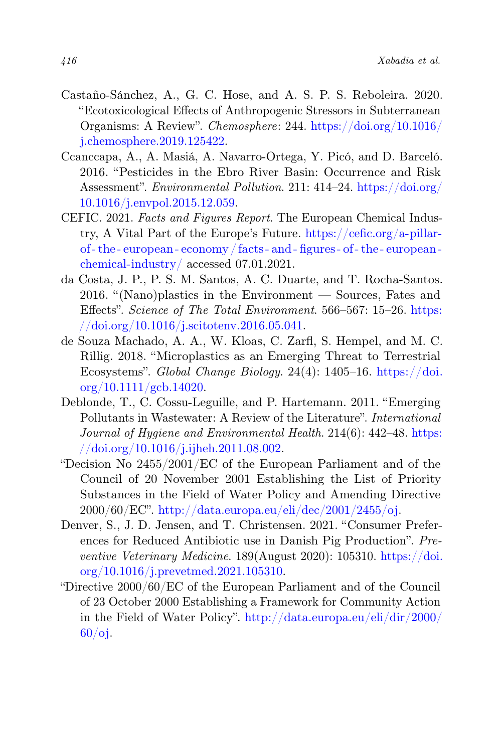- Castaño-Sánchez, A., G. C. Hose, and A. S. P. S. Reboleira. 2020. "Ecotoxicological Effects of Anthropogenic Stressors in Subterranean Organisms: A Review". Chemosphere: 244. [https://doi.org/10.1016/](https://doi.org/10.1016/j.chemosphere.2019.125422) [j.chemosphere.2019.125422.](https://doi.org/10.1016/j.chemosphere.2019.125422)
- Ccanccapa, A., A. Masiá, A. Navarro-Ortega, Y. Picó, and D. Barceló. 2016. "Pesticides in the Ebro River Basin: Occurrence and Risk Assessment". Environmental Pollution. 211: 414–24. [https://doi.org/](https://doi.org/10.1016/j.envpol.2015.12.059) [10.1016/j.envpol.2015.12.059.](https://doi.org/10.1016/j.envpol.2015.12.059)
- CEFIC. 2021. Facts and Figures Report. The European Chemical Industry, A Vital Part of the Europe's Future. [https://cefic.org/a-pillar](https://cefic.org/a-pillar-of-the-european-economy/facts-and-figures-of-the-european-chemical-industry/)[of - the - european - economy/ facts - and - figures - of - the - european](https://cefic.org/a-pillar-of-the-european-economy/facts-and-figures-of-the-european-chemical-industry/)  [chemical-industry/](https://cefic.org/a-pillar-of-the-european-economy/facts-and-figures-of-the-european-chemical-industry/) accessed 07.01.2021.
- da Costa, J. P., P. S. M. Santos, A. C. Duarte, and T. Rocha-Santos. 2016. "(Nano)plastics in the Environment — Sources, Fates and Effects". Science of The Total Environment. 566–567: 15–26. [https:](https://doi.org/10.1016/j.scitotenv.2016.05.041) [//doi.org/10.1016/j.scitotenv.2016.05.041.](https://doi.org/10.1016/j.scitotenv.2016.05.041)
- de Souza Machado, A. A., W. Kloas, C. Zarfl, S. Hempel, and M. C. Rillig. 2018. "Microplastics as an Emerging Threat to Terrestrial Ecosystems". Global Change Biology. 24(4): 1405–16. [https://doi.](https://doi.org/10.1111/gcb.14020) [org/10.1111/gcb.14020.](https://doi.org/10.1111/gcb.14020)
- Deblonde, T., C. Cossu-Leguille, and P. Hartemann. 2011. "Emerging Pollutants in Wastewater: A Review of the Literature". International Journal of Hygiene and Environmental Health. 214(6): 442–48. [https:](https://doi.org/10.1016/j.ijheh.2011.08.002)  $// doi.org/10.1016/j.ijheh.2011.08.002.$
- "Decision No 2455/2001/EC of the European Parliament and of the Council of 20 November 2001 Establishing the List of Priority Substances in the Field of Water Policy and Amending Directive 2000/60/EC". [http://data.europa.eu/eli/dec/2001/2455/oj.](http://data.europa.eu/eli/dec/2001/2455/oj)
- Denver, S., J. D. Jensen, and T. Christensen. 2021. "Consumer Preferences for Reduced Antibiotic use in Danish Pig Production". Preventive Veterinary Medicine. 189(August 2020): 105310. [https://doi.](https://doi.org/10.1016/j.prevetmed.2021.105310) [org/10.1016/j.prevetmed.2021.105310.](https://doi.org/10.1016/j.prevetmed.2021.105310)
- "Directive 2000/60/EC of the European Parliament and of the Council of 23 October 2000 Establishing a Framework for Community Action in the Field of Water Policy". [http://data.europa.eu/eli/dir/2000/](http://data.europa.eu/eli/dir/2000/60/oj) [60/oj.](http://data.europa.eu/eli/dir/2000/60/oj)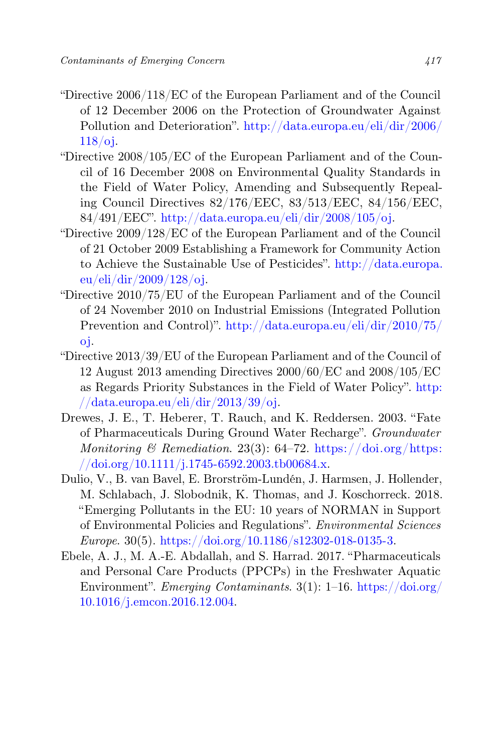- "Directive 2006/118/EC of the European Parliament and of the Council of 12 December 2006 on the Protection of Groundwater Against Pollution and Deterioration". [http://data.europa.eu/eli/dir/2006/](http://data.europa.eu/eli/dir/2006/118/oj) [118/oj.](http://data.europa.eu/eli/dir/2006/118/oj)
- "Directive 2008/105/EC of the European Parliament and of the Council of 16 December 2008 on Environmental Quality Standards in the Field of Water Policy, Amending and Subsequently Repealing Council Directives 82/176/EEC, 83/513/EEC, 84/156/EEC, 84/491/EEC". [http://data.europa.eu/eli/dir/2008/105/oj.](http://data.europa.eu/eli/dir/2008/105/oj)
- "Directive 2009/128/EC of the European Parliament and of the Council of 21 October 2009 Establishing a Framework for Community Action to Achieve the Sustainable Use of Pesticides". [http://data.europa.](http://data.europa.eu/eli/dir/2009/128/oj) [eu/eli/dir/2009/128/oj.](http://data.europa.eu/eli/dir/2009/128/oj)
- "Directive 2010/75/EU of the European Parliament and of the Council of 24 November 2010 on Industrial Emissions (Integrated Pollution Prevention and Control)". [http://data.europa.eu/eli/dir/2010/75/](http://data.europa.eu/eli/dir/2010/75/oj) [oj.](http://data.europa.eu/eli/dir/2010/75/oj)
- "Directive 2013/39/EU of the European Parliament and of the Council of 12 August 2013 amending Directives 2000/60/EC and 2008/105/EC as Regards Priority Substances in the Field of Water Policy". [http:](http://data.europa.eu/eli/dir/2013/39/oj)  $// data. europa.eu/eli/dir/2013/39/oj.$
- Drewes, J. E., T. Heberer, T. Rauch, and K. Reddersen. 2003. "Fate of Pharmaceuticals During Ground Water Recharge". Groundwater Monitoring & Remediation. 23(3):  $64-72$ . [https://doi.org/https:](https://doi.org/https://doi.org/10.1111/j.1745-6592.2003.tb00684.x)  $// doi.org/10.1111/j.1745-6592.2003.tb00684.x.$
- Dulio, V., B. van Bavel, E. Brorström-Lundén, J. Harmsen, J. Hollender, M. Schlabach, J. Slobodnik, K. Thomas, and J. Koschorreck. 2018. "Emerging Pollutants in the EU: 10 years of NORMAN in Support of Environmental Policies and Regulations". Environmental Sciences Europe. 30(5). [https://doi.org/10.1186/s12302-018-0135-3.](https://doi.org/10.1186/s12302-018-0135-3)
- Ebele, A. J., M. A.-E. Abdallah, and S. Harrad. 2017. "Pharmaceuticals and Personal Care Products (PPCPs) in the Freshwater Aquatic Environment". *Emerging Contaminants.*  $3(1)$ :  $1-16$ . [https://doi.org/](https://doi.org/10.1016/j.emcon.2016.12.004) [10.1016/j.emcon.2016.12.004.](https://doi.org/10.1016/j.emcon.2016.12.004)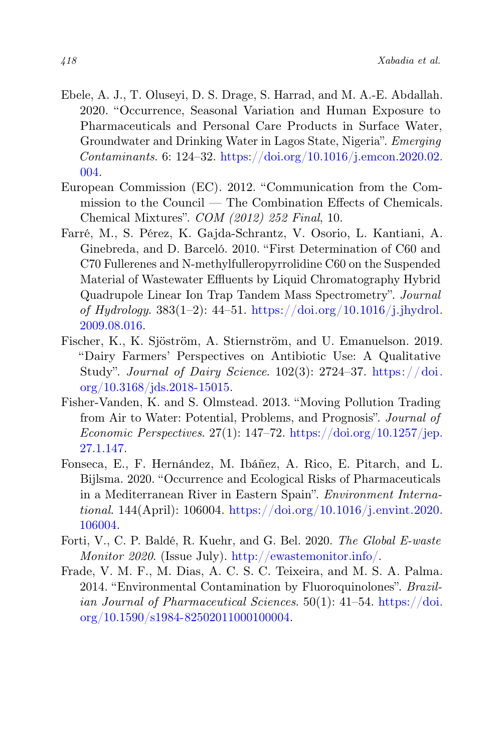- Ebele, A. J., T. Oluseyi, D. S. Drage, S. Harrad, and M. A.-E. Abdallah. 2020. "Occurrence, Seasonal Variation and Human Exposure to Pharmaceuticals and Personal Care Products in Surface Water, Groundwater and Drinking Water in Lagos State, Nigeria". Emerging Contaminants. 6: 124–32. [https://doi.org/10.1016/j.emcon.2020.02.](https://doi.org/10.1016/j.emcon.2020.02.004) [004.](https://doi.org/10.1016/j.emcon.2020.02.004)
- European Commission (EC). 2012. "Communication from the Commission to the Council — The Combination Effects of Chemicals. Chemical Mixtures". COM (2012) 252 Final, 10.
- Farré, M., S. Pérez, K. Gajda-Schrantz, V. Osorio, L. Kantiani, A. Ginebreda, and D. Barceló. 2010. "First Determination of C60 and C70 Fullerenes and N-methylfulleropyrrolidine C60 on the Suspended Material of Wastewater Effluents by Liquid Chromatography Hybrid Quadrupole Linear Ion Trap Tandem Mass Spectrometry". Journal of Hydrology. 383(1–2): 44–51. [https://doi.org/10.1016/j.jhydrol.](https://doi.org/10.1016/j.jhydrol.2009.08.016) [2009.08.016.](https://doi.org/10.1016/j.jhydrol.2009.08.016)
- Fischer, K., K. Sjöström, A. Stiernström, and U. Emanuelson. 2019. "Dairy Farmers' Perspectives on Antibiotic Use: A Qualitative Study". Journal of Dairy Science.  $102(3)$ : 2724–37. [https://doi.](https://doi.org/10.3168/jds.2018-15015) [org/10.3168/jds.2018-15015.](https://doi.org/10.3168/jds.2018-15015)
- Fisher-Vanden, K. and S. Olmstead. 2013. "Moving Pollution Trading from Air to Water: Potential, Problems, and Prognosis". Journal of Economic Perspectives.  $27(1)$ :  $147-72$ . [https://doi.org/10.1257/jep.](https://doi.org/10.1257/jep.27.1.147) [27.1.147.](https://doi.org/10.1257/jep.27.1.147)
- Fonseca, E., F. Hernández, M. Ibáñez, A. Rico, E. Pitarch, and L. Bijlsma. 2020. "Occurrence and Ecological Risks of Pharmaceuticals in a Mediterranean River in Eastern Spain". Environment International. 144(April): 106004. [https://doi.org/10.1016/j.envint.2020.](https://doi.org/10.1016/j.envint.2020.106004) [106004.](https://doi.org/10.1016/j.envint.2020.106004)
- Forti, V., C. P. Baldé, R. Kuehr, and G. Bel. 2020. The Global E-waste Monitor 2020. (Issue July). [http://ewastemonitor.info/.](http://ewastemonitor.info/)
- Frade, V. M. F., M. Dias, A. C. S. C. Teixeira, and M. S. A. Palma. 2014. "Environmental Contamination by Fluoroquinolones". Brazilian Journal of Pharmaceutical Sciences.  $50(1)$ :  $41-54$ . [https://doi.](https://doi.org/10.1590/s1984-82502011000100004) [org/10.1590/s1984-82502011000100004.](https://doi.org/10.1590/s1984-82502011000100004)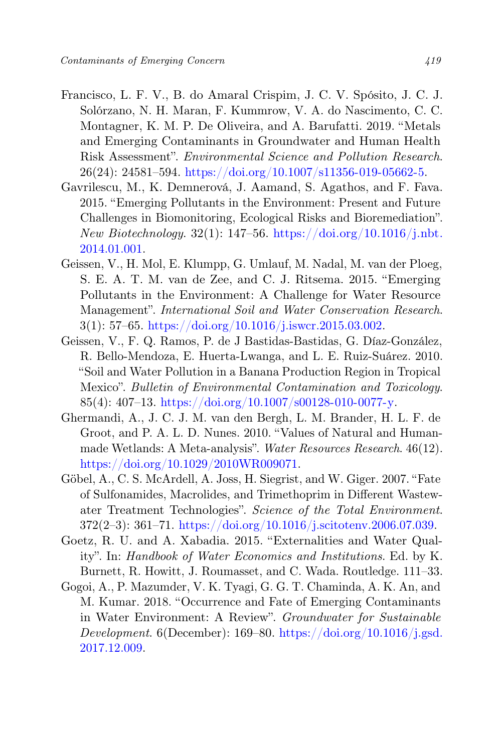- Francisco, L. F. V., B. do Amaral Crispim, J. C. V. Spósito, J. C. J. Solórzano, N. H. Maran, F. Kummrow, V. A. do Nascimento, C. C. Montagner, K. M. P. De Oliveira, and A. Barufatti. 2019. "Metals and Emerging Contaminants in Groundwater and Human Health Risk Assessment". Environmental Science and Pollution Research.  $26(24): 24581 - 594.$  [https://doi.org/10.1007/s11356-019-05662-5.](https://doi.org/10.1007/s11356-019-05662-5)
- Gavrilescu, M., K. Demnerová, J. Aamand, S. Agathos, and F. Fava. 2015. "Emerging Pollutants in the Environment: Present and Future Challenges in Biomonitoring, Ecological Risks and Bioremediation".  $New Biotechnology. 32(1): 147–56. [New Biotechnology. 32\(1\): 147–56. \[New Biotechnology. 32\\(1\\): 147–56. <a href="https://doi.org/10.1016/j.nbt.1016/j.nbt.1016/j.nbt.1016/j.nbt.1016/j.nbt.1016/j.nbt.1016/j.nbt.1016/j.nbt.1016/j.nbt.1016/j.nbt.1016/j.nbt.1016/j.nbt.1016/j.nbt.1016/j.nbt.1016/j.nbt.1016/j.nbt.1016/j.nbt.1016/j.nbt.1016/j.nbt.1016/j.nbt.1016/j.nbt.1016/j.nbt.1016/j.nbt.1016/j.n</math>\]\(https://doi.org/10.1016/j.nbt.1016/j.nbt.1016/j.nbt.1016/j.nbt.1016/j.nbt.1016/j.nbt.1016/j.nbt.1016/j.nbt.1016/j.nbt.1016/j.nbt.1016/j.nbt.1016/j.nbt.1016/j.nbt.1016/j.nbt.1016/j.nbt.1016/j.nbt.1016/j.nbt.1016/j.nbt.1016/j.nbt.1016/j.nbt.1016/j.nbt.1016/j.nbt.1016/j.nbt.1016/j.n</math><math display=\)](https://doi.org/10.1016/j.nbt.1016/j.nbt.1016/j.nbt.1016/j.nbt.1016/j.nbt.1016/j.nbt.1016/j.nbt.1016/j.nbt.1016/j.nbt.1016/j.nbt.1016/j.nbt.1016/j.nbt.1016/j.nbt.1016/j.nbt.1016/j.nbt.1016/j.nbt.1016/j.nbt.1016/j.nbt.1016/j.nbt.1016/j.nbt.1016/j.nbt.1016/j.nbt.1016/j.nbt.1016/j.n</math><math display=)$ [2014.01.001.](https://doi.org/10.1016/j.nbt.2014.01.001)
- Geissen, V., H. Mol, E. Klumpp, G. Umlauf, M. Nadal, M. van der Ploeg, S. E. A. T. M. van de Zee, and C. J. Ritsema. 2015. "Emerging Pollutants in the Environment: A Challenge for Water Resource Management". International Soil and Water Conservation Research.  $3(1): 57–65. <a href="https://doi.org/10.1016/j.iswer.2015.03.002.1016/j.iswer.2015.03.002.1016/j.iswer.2015.03.002.1016/j.iswer.2015.03.002.1016/j.iswer.2015.03.002.1016/j.iswer.2015.03.002.1016/j.ismer.2015.03.002.1016/j.ismer.2015.03.002.1016/j.ismer.2015.03.002.1016/j.ismer.2015.03.0</math>$
- Geissen, V., F. Q. Ramos, P. de J Bastidas-Bastidas, G. Díaz-González, R. Bello-Mendoza, E. Huerta-Lwanga, and L. E. Ruiz-Suárez. 2010. "Soil and Water Pollution in a Banana Production Region in Tropical Mexico". Bulletin of Environmental Contamination and Toxicology. 85(4): 407-13. [https://doi.org/10.1007/s00128-010-0077-y.](https://doi.org/10.1007/s00128-010-0077-y)
- Ghermandi, A., J. C. J. M. van den Bergh, L. M. Brander, H. L. F. de Groot, and P. A. L. D. Nunes. 2010. "Values of Natural and Humanmade Wetlands: A Meta-analysis". Water Resources Research. 46(12). [https://doi.org/10.1029/2010WR009071.](https://doi.org/10.1029/2010WR009071)
- Göbel, A., C. S. McArdell, A. Joss, H. Siegrist, and W. Giger. 2007. "Fate of Sulfonamides, Macrolides, and Trimethoprim in Different Wastewater Treatment Technologies". Science of the Total Environment. 372(2–3): 361–71. [https://doi.org/10.1016/j.scitotenv.2006.07.039.](https://doi.org/10.1016/j.scitotenv.2006.07.039)
- Goetz, R. U. and A. Xabadia. 2015. "Externalities and Water Quality". In: Handbook of Water Economics and Institutions. Ed. by K. Burnett, R. Howitt, J. Roumasset, and C. Wada. Routledge. 111–33.
- Gogoi, A., P. Mazumder, V. K. Tyagi, G. G. T. Chaminda, A. K. An, and M. Kumar. 2018. "Occurrence and Fate of Emerging Contaminants in Water Environment: A Review". Groundwater for Sustainable Development.  $6(December): 169–80. [https://doi.org/10.1016/j.gsd.}](https://doi.org/10.1016/j.gsd.)$  $6(December): 169–80. [https://doi.org/10.1016/j.gsd.}](https://doi.org/10.1016/j.gsd.)$  $6(December): 169–80. [https://doi.org/10.1016/j.gsd.}](https://doi.org/10.1016/j.gsd.)$ [2017.12.009.](https://doi.org/10.1016/j.gsd.2017.12.009)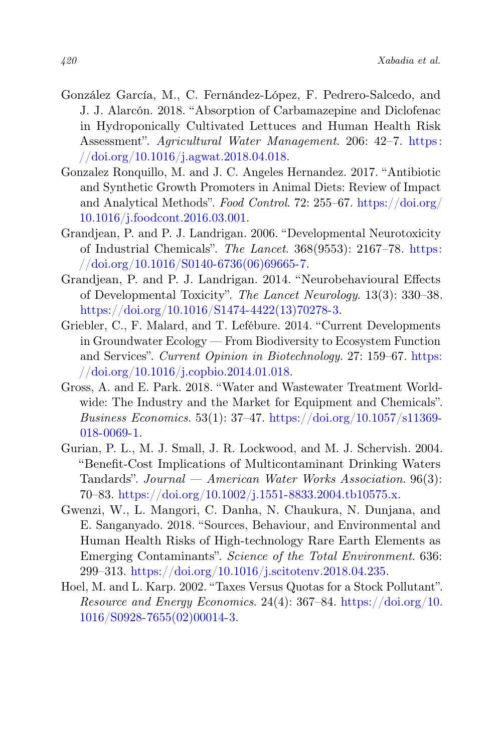- González García, M., C. Fernández-López, F. Pedrero-Salcedo, and J. J. Alarcón. 2018. "Absorption of Carbamazepine and Diclofenac in Hydroponically Cultivated Lettuces and Human Health Risk Assessment". Agricultural Water Management. 206: 42–7. [https:](https://doi.org/10.1016/j.agwat.2018.04.018) [//doi.org/10.1016/j.agwat.2018.04.018.](https://doi.org/10.1016/j.agwat.2018.04.018)
- Gonzalez Ronquillo, M. and J. C. Angeles Hernandez. 2017. "Antibiotic and Synthetic Growth Promoters in Animal Diets: Review of Impact and Analytical Methods". Food Control. 72: 255–67. [https://doi.org/](https://doi.org/10.1016/j.foodcont.2016.03.001) [10.1016/j.foodcont.2016.03.001.](https://doi.org/10.1016/j.foodcont.2016.03.001)
- Grandjean, P. and P. J. Landrigan. 2006. "Developmental Neurotoxicity of Industrial Chemicals". The Lancet. 368(9553): 2167–78. [https:](https://doi.org/10.1016/S0140-6736(06)69665-7)  $// doi.org/10.1016/S0140-6736(06)69665-7.$
- Grandjean, P. and P. J. Landrigan. 2014. "Neurobehavioural Effects of Developmental Toxicity". The Lancet Neurology. 13(3): 330–38. [https://doi.org/10.1016/S1474-4422\(13\)70278-3.](https://doi.org/10.1016/S1474-4422(13)70278-3)
- Griebler, C., F. Malard, and T. Lefébure. 2014. "Current Developments in Groundwater Ecology — From Biodiversity to Ecosystem Function and Services". Current Opinion in Biotechnology. 27: 159–67. [https:](https://doi.org/10.1016/j.copbio.2014.01.018) [//doi.org/10.1016/j.copbio.2014.01.018.](https://doi.org/10.1016/j.copbio.2014.01.018)
- Gross, A. and E. Park. 2018. "Water and Wastewater Treatment Worldwide: The Industry and the Market for Equipment and Chemicals". Business Economics. 53(1):  $37-47$ . [https://doi.org/10.1057/s11369-](https://doi.org/10.1057/s11369-018-0069-1) [018-0069-1.](https://doi.org/10.1057/s11369-018-0069-1)
- Gurian, P. L., M. J. Small, J. R. Lockwood, and M. J. Schervish. 2004. "Benefit-Cost Implications of Multicontaminant Drinking Waters Tandards". Journal — American Water Works Association.  $96(3)$ : 70–83. [https://doi.org/10.1002/j.1551-8833.2004.tb10575.x.](https://doi.org/10.1002/j.1551-8833.2004.tb10575.x)
- Gwenzi, W., L. Mangori, C. Danha, N. Chaukura, N. Dunjana, and E. Sanganyado. 2018. "Sources, Behaviour, and Environmental and Human Health Risks of High-technology Rare Earth Elements as Emerging Contaminants". Science of the Total Environment. 636: 299–313. [https://doi.org/10.1016/j.scitotenv.2018.04.235.](https://doi.org/10.1016/j.scitotenv.2018.04.235)
- Hoel, M. and L. Karp. 2002. "Taxes Versus Quotas for a Stock Pollutant". Resource and Energy Economics. 24(4): 367–84. [https://doi.org/10.](https://doi.org/10.1016/S0928-7655(02)00014-3) [1016/S0928-7655\(02\)00014-3.](https://doi.org/10.1016/S0928-7655(02)00014-3)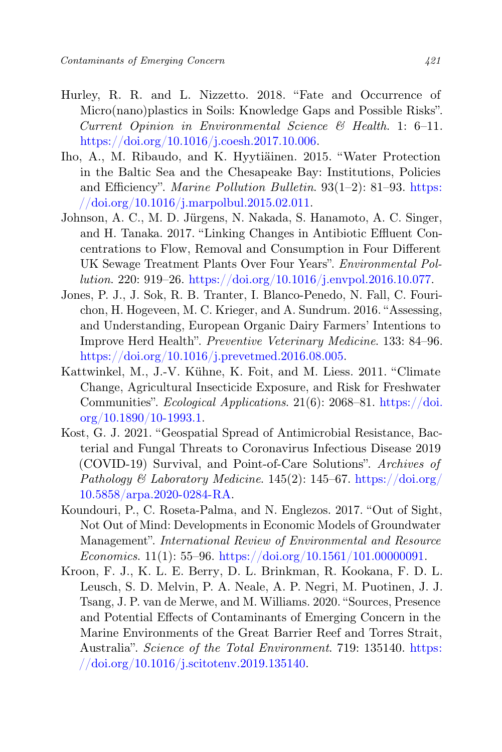- Hurley, R. R. and L. Nizzetto. 2018. "Fate and Occurrence of Micro(nano)plastics in Soils: Knowledge Gaps and Possible Risks". Current Opinion in Environmental Science  $\mathcal{B}$  Health. 1: 6–11. [https://doi.org/10.1016/j.coesh.2017.10.006.](https://doi.org/10.1016/j.coesh.2017.10.006)
- Iho, A., M. Ribaudo, and K. Hyytiäinen. 2015. "Water Protection in the Baltic Sea and the Chesapeake Bay: Institutions, Policies and Efficiency". Marine Pollution Bulletin. 93(1-2): 81-93. [https:](https://doi.org/10.1016/j.marpolbul.2015.02.011)  $// doi.org/10.1016/j.marpolbul.2015.02.011.$
- Johnson, A. C., M. D. Jürgens, N. Nakada, S. Hanamoto, A. C. Singer, and H. Tanaka. 2017. "Linking Changes in Antibiotic Effluent Concentrations to Flow, Removal and Consumption in Four Different UK Sewage Treatment Plants Over Four Years". Environmental Pollution. 220: 919–26. [https://doi.org/10.1016/j.envpol.2016.10.077.](https://doi.org/10.1016/j.envpol.2016.10.077)
- Jones, P. J., J. Sok, R. B. Tranter, I. Blanco-Penedo, N. Fall, C. Fourichon, H. Hogeveen, M. C. Krieger, and A. Sundrum. 2016. "Assessing, and Understanding, European Organic Dairy Farmers' Intentions to Improve Herd Health". Preventive Veterinary Medicine. 133: 84–96. [https://doi.org/10.1016/j.prevetmed.2016.08.005.](https://doi.org/10.1016/j.prevetmed.2016.08.005)
- Kattwinkel, M., J.-V. Kühne, K. Foit, and M. Liess. 2011. "Climate Change, Agricultural Insecticide Exposure, and Risk for Freshwater Communities". Ecological Applications. 21(6): 2068–81. [https://doi.](https://doi.org/10.1890/10-1993.1) [org/10.1890/10-1993.1.](https://doi.org/10.1890/10-1993.1)
- Kost, G. J. 2021. "Geospatial Spread of Antimicrobial Resistance, Bacterial and Fungal Threats to Coronavirus Infectious Disease 2019 (COVID-19) Survival, and Point-of-Care Solutions". Archives of Pathology & Laboratory Medicine. 145(2): 145–67. [https://doi.org/](https://doi.org/10.5858/arpa.2020-0284-RA) [10.5858/arpa.2020-0284-RA.](https://doi.org/10.5858/arpa.2020-0284-RA)
- Koundouri, P., C. Roseta-Palma, and N. Englezos. 2017. "Out of Sight, Not Out of Mind: Developments in Economic Models of Groundwater Management". International Review of Environmental and Resource Economics. 11(1): 55–96. [https://doi.org/10.1561/101.00000091.](https://doi.org/10.1561/101.00000091)
- Kroon, F. J., K. L. E. Berry, D. L. Brinkman, R. Kookana, F. D. L. Leusch, S. D. Melvin, P. A. Neale, A. P. Negri, M. Puotinen, J. J. Tsang, J. P. van de Merwe, and M. Williams. 2020. "Sources, Presence and Potential Effects of Contaminants of Emerging Concern in the Marine Environments of the Great Barrier Reef and Torres Strait, Australia". Science of the Total Environment. 719: 135140. [https:](https://doi.org/10.1016/j.scitotenv.2019.135140) [//doi.org/10.1016/j.scitotenv.2019.135140.](https://doi.org/10.1016/j.scitotenv.2019.135140)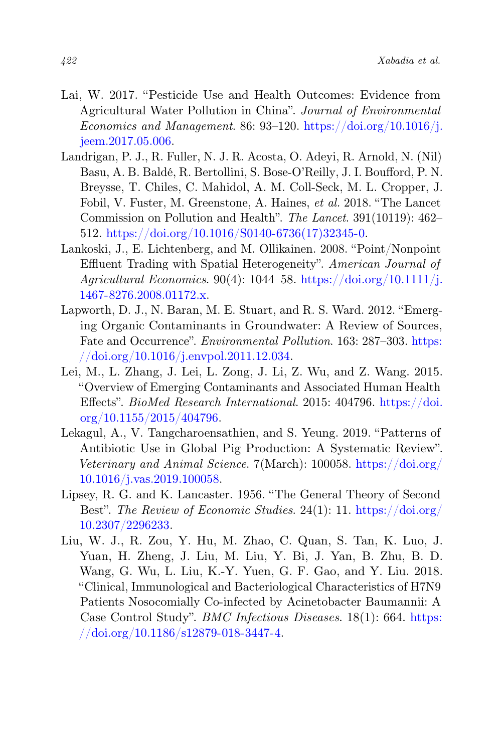- Lai, W. 2017. "Pesticide Use and Health Outcomes: Evidence from Agricultural Water Pollution in China". Journal of Environmental Economics and Management. 86: 93–120. [https://doi.org/10.1016/j.](https://doi.org/10.1016/j.jeem.2017.05.006) [jeem.2017.05.006.](https://doi.org/10.1016/j.jeem.2017.05.006)
- Landrigan, P. J., R. Fuller, N. J. R. Acosta, O. Adeyi, R. Arnold, N. (Nil) Basu, A. B. Baldé, R. Bertollini, S. Bose-O'Reilly, J. I. Boufford, P. N. Breysse, T. Chiles, C. Mahidol, A. M. Coll-Seck, M. L. Cropper, J. Fobil, V. Fuster, M. Greenstone, A. Haines, et al. 2018. "The Lancet Commission on Pollution and Health". The Lancet. 391(10119): 462– 512. [https://doi.org/10.1016/S0140-6736\(17\)32345-0.](https://doi.org/10.1016/S0140-6736(17)32345-0)
- Lankoski, J., E. Lichtenberg, and M. Ollikainen. 2008. "Point/Nonpoint Effluent Trading with Spatial Heterogeneity". American Journal of Agricultural Economics.  $90(4)$ : 1044–58. [https://doi.org/10.1111/j.](https://doi.org/10.1111/j.1467-8276.2008.01172.x) [1467-8276.2008.01172.x.](https://doi.org/10.1111/j.1467-8276.2008.01172.x)
- Lapworth, D. J., N. Baran, M. E. Stuart, and R. S. Ward. 2012. "Emerging Organic Contaminants in Groundwater: A Review of Sources, Fate and Occurrence". Environmental Pollution. 163: 287–303. [https:](https://doi.org/10.1016/j.envpol.2011.12.034) [//doi.org/10.1016/j.envpol.2011.12.034.](https://doi.org/10.1016/j.envpol.2011.12.034)
- Lei, M., L. Zhang, J. Lei, L. Zong, J. Li, Z. Wu, and Z. Wang. 2015. "Overview of Emerging Contaminants and Associated Human Health Effects". BioMed Research International. 2015: 404796. [https://doi.](https://doi.org/10.1155/2015/404796) [org/10.1155/2015/404796.](https://doi.org/10.1155/2015/404796)
- Lekagul, A., V. Tangcharoensathien, and S. Yeung. 2019. "Patterns of Antibiotic Use in Global Pig Production: A Systematic Review". Veterinary and Animal Science. 7(March): 100058. [https://doi.org/](https://doi.org/10.1016/j.vas.2019.100058) [10.1016/j.vas.2019.100058.](https://doi.org/10.1016/j.vas.2019.100058)
- Lipsey, R. G. and K. Lancaster. 1956. "The General Theory of Second Best". The Review of Economic Studies. 24(1): 11. [https://doi.org/](https://doi.org/10.2307/2296233) [10.2307/2296233.](https://doi.org/10.2307/2296233)
- Liu, W. J., R. Zou, Y. Hu, M. Zhao, C. Quan, S. Tan, K. Luo, J. Yuan, H. Zheng, J. Liu, M. Liu, Y. Bi, J. Yan, B. Zhu, B. D. Wang, G. Wu, L. Liu, K.-Y. Yuen, G. F. Gao, and Y. Liu. 2018. "Clinical, Immunological and Bacteriological Characteristics of H7N9 Patients Nosocomially Co-infected by Acinetobacter Baumannii: A Case Control Study". BMC Infectious Diseases. 18(1): 664. [https:](https://doi.org/10.1186/s12879-018-3447-4) [//doi.org/10.1186/s12879-018-3447-4.](https://doi.org/10.1186/s12879-018-3447-4)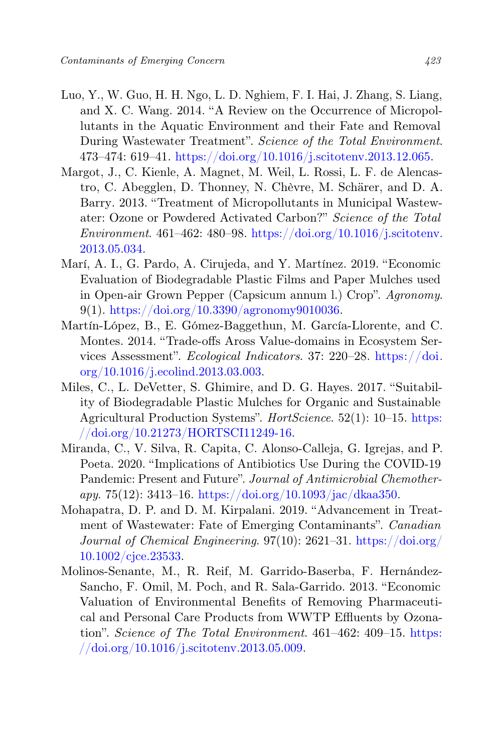- Luo, Y., W. Guo, H. H. Ngo, L. D. Nghiem, F. I. Hai, J. Zhang, S. Liang, and X. C. Wang. 2014. "A Review on the Occurrence of Micropollutants in the Aquatic Environment and their Fate and Removal During Wastewater Treatment". Science of the Total Environment. 473–474: 619–41. [https://doi.org/10.1016/j.scitotenv.2013.12.065.](https://doi.org/10.1016/j.scitotenv.2013.12.065)
- Margot, J., C. Kienle, A. Magnet, M. Weil, L. Rossi, L. F. de Alencastro, C. Abegglen, D. Thonney, N. Chèvre, M. Schärer, and D. A. Barry. 2013. "Treatment of Micropollutants in Municipal Wastewater: Ozone or Powdered Activated Carbon?" Science of the Total  $Environment, 461-462: 480-98. <https://doi.org/10.1016/i.scitotenv>.$ [2013.05.034.](https://doi.org/10.1016/j.scitotenv.2013.05.034)
- Marí, A. I., G. Pardo, A. Cirujeda, and Y. Martínez. 2019. "Economic Evaluation of Biodegradable Plastic Films and Paper Mulches used in Open-air Grown Pepper (Capsicum annum l.) Crop". Agronomy. 9(1). [https://doi.org/10.3390/agronomy9010036.](https://doi.org/10.3390/agronomy9010036)
- Martín-López, B., E. Gómez-Baggethun, M. García-Llorente, and C. Montes. 2014. "Trade-offs Aross Value-domains in Ecosystem Services Assessment". Ecological Indicators. 37: 220–28. [https://doi.](https://doi.org/10.1016/j.ecolind.2013.03.003) [org/10.1016/j.ecolind.2013.03.003.](https://doi.org/10.1016/j.ecolind.2013.03.003)
- Miles, C., L. DeVetter, S. Ghimire, and D. G. Hayes. 2017. "Suitability of Biodegradable Plastic Mulches for Organic and Sustainable Agricultural Production Systems". *HortScience*. 52(1): 10–15. [https:](https://doi.org/10.21273/HORTSCI11249-16) [//doi.org/10.21273/HORTSCI11249-16.](https://doi.org/10.21273/HORTSCI11249-16)
- Miranda, C., V. Silva, R. Capita, C. Alonso-Calleja, G. Igrejas, and P. Poeta. 2020. "Implications of Antibiotics Use During the COVID-19 Pandemic: Present and Future". Journal of Antimicrobial Chemotherapy. 75(12): 3413–16. [https://doi.org/10.1093/jac/dkaa350.](https://doi.org/10.1093/jac/dkaa350)
- Mohapatra, D. P. and D. M. Kirpalani. 2019. "Advancement in Treatment of Wastewater: Fate of Emerging Contaminants". Canadian Journal of Chemical Engineering.  $97(10)$ :  $2621-31$ . [https://doi.org/](https://doi.org/10.1002/cjce.23533) [10.1002/cjce.23533.](https://doi.org/10.1002/cjce.23533)
- Molinos-Senante, M., R. Reif, M. Garrido-Baserba, F. Hernández-Sancho, F. Omil, M. Poch, and R. Sala-Garrido. 2013. "Economic Valuation of Environmental Benefits of Removing Pharmaceutical and Personal Care Products from WWTP Effluents by Ozonation". Science of The Total Environment. 461–462: 409–15. [https:](https://doi.org/10.1016/j.scitotenv.2013.05.009) [//doi.org/10.1016/j.scitotenv.2013.05.009.](https://doi.org/10.1016/j.scitotenv.2013.05.009)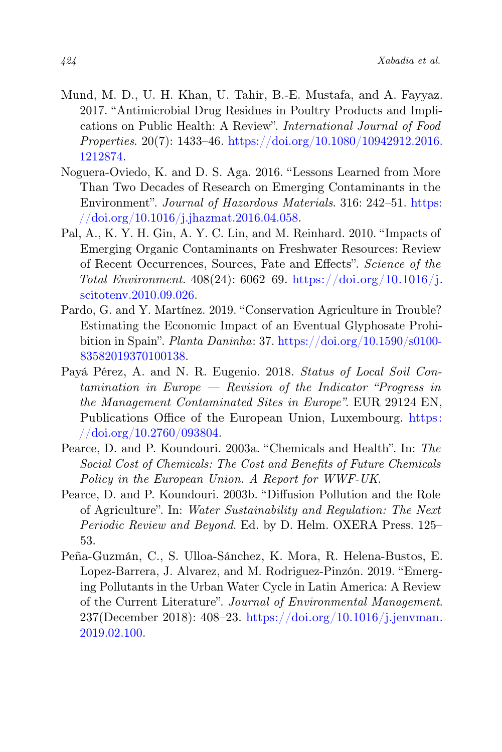- Mund, M. D., U. H. Khan, U. Tahir, B.-E. Mustafa, and A. Fayyaz. 2017. "Antimicrobial Drug Residues in Poultry Products and Implications on Public Health: A Review". International Journal of Food Properties.  $20(7)$ : 1433-46. [https://doi.org/10.1080/10942912.2016.](https://doi.org/10.1080/10942912.2016.1212874) [1212874.](https://doi.org/10.1080/10942912.2016.1212874)
- Noguera-Oviedo, K. and D. S. Aga. 2016. "Lessons Learned from More Than Two Decades of Research on Emerging Contaminants in the Environment". Journal of Hazardous Materials. 316: 242–51. [https:](https://doi.org/10.1016/j.jhazmat.2016.04.058) [//doi.org/10.1016/j.jhazmat.2016.04.058.](https://doi.org/10.1016/j.jhazmat.2016.04.058)
- Pal, A., K. Y. H. Gin, A. Y. C. Lin, and M. Reinhard. 2010. "Impacts of Emerging Organic Contaminants on Freshwater Resources: Review of Recent Occurrences, Sources, Fate and Effects". Science of the Total Environment.  $408(24)$ :  $6062-69$ . [https://doi.org/10.1016/j.](https://doi.org/10.1016/j.scitotenv.2010.09.026) [scitotenv.2010.09.026.](https://doi.org/10.1016/j.scitotenv.2010.09.026)
- Pardo, G. and Y. Martínez. 2019. "Conservation Agriculture in Trouble? Estimating the Economic Impact of an Eventual Glyphosate Prohibition in Spain". Planta Daninha: 37. [https://doi.org/10.1590/s0100-](https://doi.org/10.1590/s0100-83582019370100138) [83582019370100138.](https://doi.org/10.1590/s0100-83582019370100138)
- Payá Pérez, A. and N. R. Eugenio. 2018. Status of Local Soil Contamination in Europe — Revision of the Indicator "Progress in the Management Contaminated Sites in Europe". EUR 29124 EN, Publications Office of the European Union, Luxembourg. [https:](https://doi.org/10.2760/093804)  $//$ doi.org/10.2760/093804.
- Pearce, D. and P. Koundouri. 2003a. "Chemicals and Health". In: The Social Cost of Chemicals: The Cost and Benefits of Future Chemicals Policy in the European Union. A Report for WWF-UK.
- Pearce, D. and P. Koundouri. 2003b. "Diffusion Pollution and the Role of Agriculture". In: Water Sustainability and Regulation: The Next Periodic Review and Beyond. Ed. by D. Helm. OXERA Press. 125– 53.
- Peña-Guzmán, C., S. Ulloa-Sánchez, K. Mora, R. Helena-Bustos, E. Lopez-Barrera, J. Alvarez, and M. Rodriguez-Pinzón. 2019. "Emerging Pollutants in the Urban Water Cycle in Latin America: A Review of the Current Literature". Journal of Environmental Management. 237(December 2018): 408–23. [https://doi.org/10.1016/j.jenvman.](https://doi.org/10.1016/j.jenvman.2019.02.100) [2019.02.100.](https://doi.org/10.1016/j.jenvman.2019.02.100)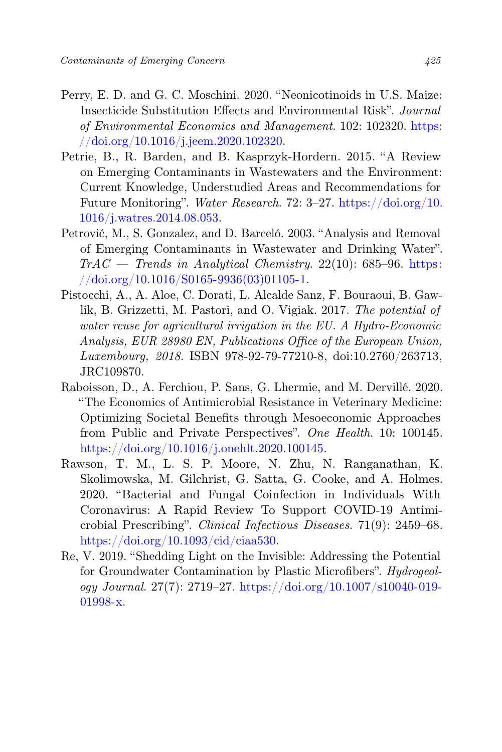- Perry, E. D. and G. C. Moschini. 2020. "Neonicotinoids in U.S. Maize: Insecticide Substitution Effects and Environmental Risk". Journal of Environmental Economics and Management. 102: 102320. [https:](https://doi.org/10.1016/j.jeem.2020.102320) [//doi.org/10.1016/j.jeem.2020.102320.](https://doi.org/10.1016/j.jeem.2020.102320)
- Petrie, B., R. Barden, and B. Kasprzyk-Hordern. 2015. "A Review on Emerging Contaminants in Wastewaters and the Environment: Current Knowledge, Understudied Areas and Recommendations for Future Monitoring". Water Research. 72: 3–27. [https://doi.org/10.](https://doi.org/10.1016/j.watres.2014.08.053) [1016/j.watres.2014.08.053.](https://doi.org/10.1016/j.watres.2014.08.053)
- Petrović, M., S. Gonzalez, and D. Barceló. 2003. "Analysis and Removal of Emerging Contaminants in Wastewater and Drinking Water".  $TrAC = Trends$  in Analytical Chemistry. 22(10): 685–96. [https:](https://doi.org/10.1016/S0165-9936(03)01105-1)  $// doi.org/10.1016/S0165-9936(03)01105-1.$
- Pistocchi, A., A. Aloe, C. Dorati, L. Alcalde Sanz, F. Bouraoui, B. Gawlik, B. Grizzetti, M. Pastori, and O. Vigiak. 2017. The potential of water reuse for agricultural irrigation in the EU. A Hydro-Economic Analysis, EUR 28980 EN, Publications Office of the European Union, Luxembourg, 2018. ISBN 978-92-79-77210-8, doi:10.2760/263713, JRC109870.
- Raboisson, D., A. Ferchiou, P. Sans, G. Lhermie, and M. Dervillé. 2020. "The Economics of Antimicrobial Resistance in Veterinary Medicine: Optimizing Societal Benefits through Mesoeconomic Approaches from Public and Private Perspectives". One Health. 10: 100145. [https://doi.org/10.1016/j.onehlt.2020.100145.](https://doi.org/10.1016/j.onehlt.2020.100145)
- Rawson, T. M., L. S. P. Moore, N. Zhu, N. Ranganathan, K. Skolimowska, M. Gilchrist, G. Satta, G. Cooke, and A. Holmes. 2020. "Bacterial and Fungal Coinfection in Individuals With Coronavirus: A Rapid Review To Support COVID-19 Antimicrobial Prescribing". Clinical Infectious Diseases. 71(9): 2459–68. [https://doi.org/10.1093/cid/ciaa530.](https://doi.org/10.1093/cid/ciaa530)
- Re, V. 2019. "Shedding Light on the Invisible: Addressing the Potential for Groundwater Contamination by Plastic Microfibers". Hydrogeology Journal. 27(7): 2719–27. [https://doi.org/10.1007/s10040-019-](https://doi.org/10.1007/s10040-019-01998-x) [01998-x.](https://doi.org/10.1007/s10040-019-01998-x)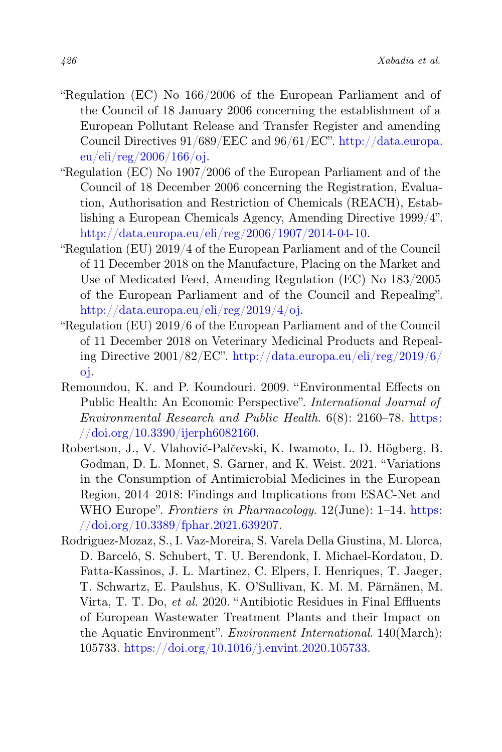- "Regulation (EC) No 166/2006 of the European Parliament and of the Council of 18 January 2006 concerning the establishment of a European Pollutant Release and Transfer Register and amending Council Directives 91/689/EEC and 96/61/EC". [http://data.europa.](http://data.europa.eu/eli/reg/2006/166/oj) [eu/eli/reg/2006/166/oj.](http://data.europa.eu/eli/reg/2006/166/oj)
- "Regulation (EC) No 1907/2006 of the European Parliament and of the Council of 18 December 2006 concerning the Registration, Evaluation, Authorisation and Restriction of Chemicals (REACH), Establishing a European Chemicals Agency, Amending Directive 1999/4". [http://data.europa.eu/eli/reg/2006/1907/2014-04-10.](http://data.europa.eu/eli/reg/2006/1907/2014-04-10)
- "Regulation (EU) 2019/4 of the European Parliament and of the Council of 11 December 2018 on the Manufacture, Placing on the Market and Use of Medicated Feed, Amending Regulation (EC) No 183/2005 of the European Parliament and of the Council and Repealing". [http://data.europa.eu/eli/reg/2019/4/oj.](http://data.europa.eu/eli/reg/2019/4/oj)
- "Regulation (EU) 2019/6 of the European Parliament and of the Council of 11 December 2018 on Veterinary Medicinal Products and Repealing Directive 2001/82/EC". [http://data.europa.eu/eli/reg/2019/6/](http://data.europa.eu/eli/reg/2019/6/oj) [oj.](http://data.europa.eu/eli/reg/2019/6/oj)
- Remoundou, K. and P. Koundouri. 2009. "Environmental Effects on Public Health: An Economic Perspective". International Journal of Environmental Research and Public Health. 6(8): 2160–78. [https:](https://doi.org/10.3390/ijerph6082160) [//doi.org/10.3390/ijerph6082160.](https://doi.org/10.3390/ijerph6082160)
- Robertson, J., V. Vlahović-Palčevski, K. Iwamoto, L. D. Högberg, B. Godman, D. L. Monnet, S. Garner, and K. Weist. 2021. "Variations in the Consumption of Antimicrobial Medicines in the European Region, 2014–2018: Findings and Implications from ESAC-Net and WHO Europe". Frontiers in Pharmacology. 12(June): 1–14. [https:](https://doi.org/10.3389/fphar.2021.639207) [//doi.org/10.3389/fphar.2021.639207.](https://doi.org/10.3389/fphar.2021.639207)
- Rodriguez-Mozaz, S., I. Vaz-Moreira, S. Varela Della Giustina, M. Llorca, D. Barceló, S. Schubert, T. U. Berendonk, I. Michael-Kordatou, D. Fatta-Kassinos, J. L. Martinez, C. Elpers, I. Henriques, T. Jaeger, T. Schwartz, E. Paulshus, K. O'Sullivan, K. M. M. Pärnänen, M. Virta, T. T. Do, et al. 2020. "Antibiotic Residues in Final Effluents of European Wastewater Treatment Plants and their Impact on the Aquatic Environment". Environment International. 140(March): 105733. [https://doi.org/10.1016/j.envint.2020.105733.](https://doi.org/10.1016/j.envint.2020.105733)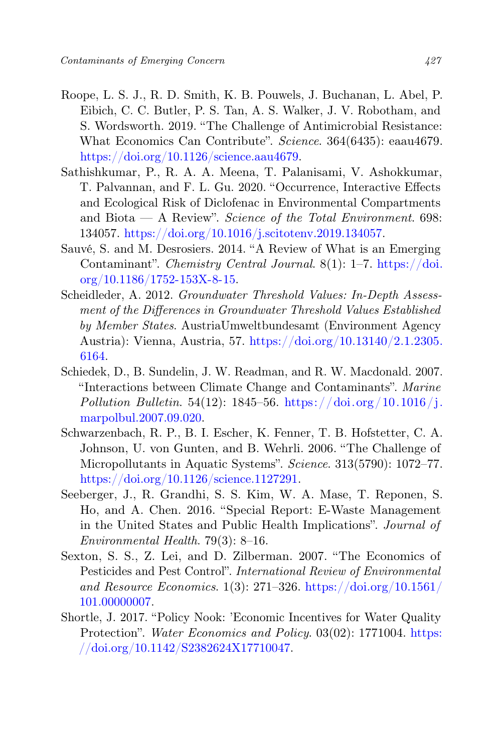- Roope, L. S. J., R. D. Smith, K. B. Pouwels, J. Buchanan, L. Abel, P. Eibich, C. C. Butler, P. S. Tan, A. S. Walker, J. V. Robotham, and S. Wordsworth. 2019. "The Challenge of Antimicrobial Resistance: What Economics Can Contribute". Science. 364(6435): eaau4679. [https://doi.org/10.1126/science.aau4679.](https://doi.org/10.1126/science.aau4679)
- Sathishkumar, P., R. A. A. Meena, T. Palanisami, V. Ashokkumar, T. Palvannan, and F. L. Gu. 2020. "Occurrence, Interactive Effects and Ecological Risk of Diclofenac in Environmental Compartments and Biota — A Review". Science of the Total Environment.  $698$ : 134057. [https://doi.org/10.1016/j.scitotenv.2019.134057.](https://doi.org/10.1016/j.scitotenv.2019.134057)
- Sauvé, S. and M. Desrosiers. 2014. "A Review of What is an Emerging Contaminant". Chemistry Central Journal. 8(1): 1–7. [https://doi.](https://doi.org/10.1186/1752-153X-8-15) [org/10.1186/1752-153X-8-15.](https://doi.org/10.1186/1752-153X-8-15)
- Scheidleder, A. 2012. Groundwater Threshold Values: In-Depth Assessment of the Differences in Groundwater Threshold Values Established by Member States. AustriaUmweltbundesamt (Environment Agency Austria): Vienna, Austria, 57. [https://doi.org/10.13140/2.1.2305.](https://doi.org/10.13140/2.1.2305.6164) [6164.](https://doi.org/10.13140/2.1.2305.6164)
- Schiedek, D., B. Sundelin, J. W. Readman, and R. W. Macdonald. 2007. "Interactions between Climate Change and Contaminants". Marine Pollution Bulletin. 54(12): 1845–56. https://doi.org/10.1016/j. [marpolbul.2007.09.020.](https://doi.org/10.1016/j.marpolbul.2007.09.020)
- Schwarzenbach, R. P., B. I. Escher, K. Fenner, T. B. Hofstetter, C. A. Johnson, U. von Gunten, and B. Wehrli. 2006. "The Challenge of Micropollutants in Aquatic Systems". Science. 313(5790): 1072–77. [https://doi.org/10.1126/science.1127291.](https://doi.org/10.1126/science.1127291)
- Seeberger, J., R. Grandhi, S. S. Kim, W. A. Mase, T. Reponen, S. Ho, and A. Chen. 2016. "Special Report: E-Waste Management in the United States and Public Health Implications". Journal of Environmental Health. 79(3): 8–16.
- Sexton, S. S., Z. Lei, and D. Zilberman. 2007. "The Economics of Pesticides and Pest Control". International Review of Environmental and Resource Economics.  $1(3)$ : 271–326. [https://doi.org/10.1561/](https://doi.org/10.1561/101.00000007) [101.00000007.](https://doi.org/10.1561/101.00000007)
- Shortle, J. 2017. "Policy Nook: 'Economic Incentives for Water Quality Protection". Water Economics and Policy. 03(02): 1771004. [https:](https://doi.org/10.1142/S2382624X17710047) [//doi.org/10.1142/S2382624X17710047.](https://doi.org/10.1142/S2382624X17710047)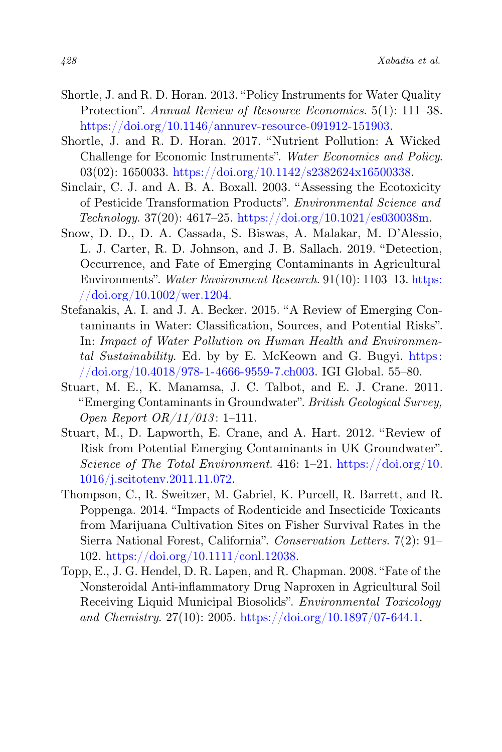- Shortle, J. and R. D. Horan. 2013. "Policy Instruments for Water Quality Protection". Annual Review of Resource Economics. 5(1): 111-38. [https://doi.org/10.1146/annurev-resource-091912-151903.](https://doi.org/10.1146/annurev-resource-091912-151903)
- Shortle, J. and R. D. Horan. 2017. "Nutrient Pollution: A Wicked Challenge for Economic Instruments". Water Economics and Policy. 03(02): 1650033. [https://doi.org/10.1142/s2382624x16500338.](https://doi.org/10.1142/s2382624x16500338)
- Sinclair, C. J. and A. B. A. Boxall. 2003. "Assessing the Ecotoxicity of Pesticide Transformation Products". Environmental Science and Technology. 37(20): 4617–25. [https://doi.org/10.1021/es030038m.](https://doi.org/10.1021/es030038m)
- Snow, D. D., D. A. Cassada, S. Biswas, A. Malakar, M. D'Alessio, L. J. Carter, R. D. Johnson, and J. B. Sallach. 2019. "Detection, Occurrence, and Fate of Emerging Contaminants in Agricultural Environments". Water Environment Research. 91(10): 1103–13. [https:](https://doi.org/10.1002/wer.1204)  $//$ doi.org/10.1002/wer.1204.
- Stefanakis, A. I. and J. A. Becker. 2015. "A Review of Emerging Contaminants in Water: Classification, Sources, and Potential Risks". In: Impact of Water Pollution on Human Health and Environmental Sustainability. Ed. by by E. McKeown and G. Bugyi. [https:](https://doi.org/10.4018/978-1-4666-9559-7.ch003) [//doi.org/10.4018/978-1-4666-9559-7.ch003.](https://doi.org/10.4018/978-1-4666-9559-7.ch003) IGI Global. 55–80.
- Stuart, M. E., K. Manamsa, J. C. Talbot, and E. J. Crane. 2011. "Emerging Contaminants in Groundwater". British Geological Survey, Open Report  $OR/11/013$ : 1-111.
- Stuart, M., D. Lapworth, E. Crane, and A. Hart. 2012. "Review of Risk from Potential Emerging Contaminants in UK Groundwater". Science of The Total Environment. 416:  $1-21$ . [https://doi.org/10.](https://doi.org/10.1016/j.scitotenv.2011.11.072) [1016/j.scitotenv.2011.11.072.](https://doi.org/10.1016/j.scitotenv.2011.11.072)
- Thompson, C., R. Sweitzer, M. Gabriel, K. Purcell, R. Barrett, and R. Poppenga. 2014. "Impacts of Rodenticide and Insecticide Toxicants from Marijuana Cultivation Sites on Fisher Survival Rates in the Sierra National Forest, California". Conservation Letters. 7(2): 91– 102. [https://doi.org/10.1111/conl.12038.](https://doi.org/10.1111/conl.12038)
- Topp, E., J. G. Hendel, D. R. Lapen, and R. Chapman. 2008. "Fate of the Nonsteroidal Anti-inflammatory Drug Naproxen in Agricultural Soil Receiving Liquid Municipal Biosolids". Environmental Toxicology and Chemistry. 27(10): 2005. [https://doi.org/10.1897/07-644.1.](https://doi.org/10.1897/07-644.1)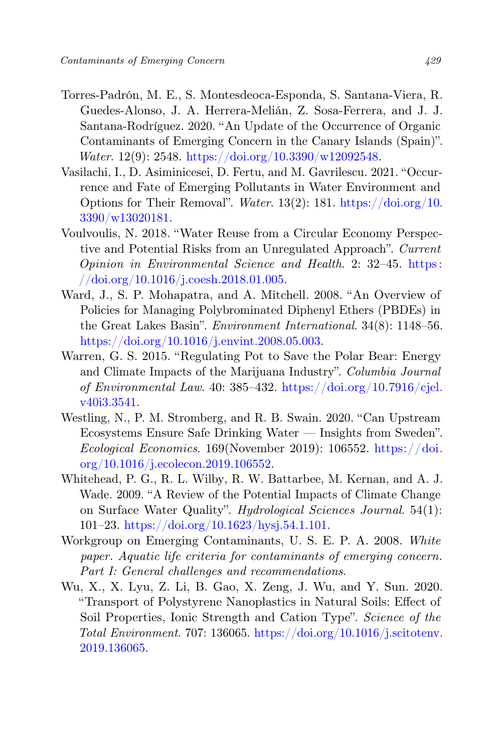- Torres-Padrón, M. E., S. Montesdeoca-Esponda, S. Santana-Viera, R. Guedes-Alonso, J. A. Herrera-Melián, Z. Sosa-Ferrera, and J. J. Santana-Rodríguez. 2020. "An Update of the Occurrence of Organic Contaminants of Emerging Concern in the Canary Islands (Spain)". Water. 12(9): 2548. [https://doi.org/10.3390/w12092548.](https://doi.org/10.3390/w12092548)
- Vasilachi, I., D. Asiminicesei, D. Fertu, and M. Gavrilescu. 2021. "Occurrence and Fate of Emerging Pollutants in Water Environment and Options for Their Removal". Water. 13(2): 181. [https://doi.org/10.](https://doi.org/10.3390/w13020181) [3390/w13020181.](https://doi.org/10.3390/w13020181)
- Voulvoulis, N. 2018. "Water Reuse from a Circular Economy Perspective and Potential Risks from an Unregulated Approach". Current Opinion in Environmental Science and Health. 2: 32–45. [https :](https://doi.org/10.1016/j.coesh.2018.01.005) [//doi.org/10.1016/j.coesh.2018.01.005.](https://doi.org/10.1016/j.coesh.2018.01.005)
- Ward, J., S. P. Mohapatra, and A. Mitchell. 2008. "An Overview of Policies for Managing Polybrominated Diphenyl Ethers (PBDEs) in the Great Lakes Basin". Environment International. 34(8): 1148–56. [https://doi.org/10.1016/j.envint.2008.05.003.](https://doi.org/10.1016/j.envint.2008.05.003)
- Warren, G. S. 2015. "Regulating Pot to Save the Polar Bear: Energy and Climate Impacts of the Marijuana Industry". Columbia Journal of Environmental Law. 40: 385-432. [https://doi.org/10.7916/cjel.](https://doi.org/10.7916/cjel.v40i3.3541) [v40i3.3541.](https://doi.org/10.7916/cjel.v40i3.3541)
- Westling, N., P. M. Stromberg, and R. B. Swain. 2020. "Can Upstream Ecosystems Ensure Safe Drinking Water — Insights from Sweden". Ecological Economics. 169(November 2019): 106552. [https://doi.](https://doi.org/10.1016/j.ecolecon.2019.106552) [org/10.1016/j.ecolecon.2019.106552.](https://doi.org/10.1016/j.ecolecon.2019.106552)
- Whitehead, P. G., R. L. Wilby, R. W. Battarbee, M. Kernan, and A. J. Wade. 2009. "A Review of the Potential Impacts of Climate Change on Surface Water Quality". Hydrological Sciences Journal. 54(1): 101–23. [https://doi.org/10.1623/hysj.54.1.101.](https://doi.org/10.1623/hysj.54.1.101)
- Workgroup on Emerging Contaminants, U. S. E. P. A. 2008. White paper. Aquatic life criteria for contaminants of emerging concern. Part I: General challenges and recommendations.
- Wu, X., X. Lyu, Z. Li, B. Gao, X. Zeng, J. Wu, and Y. Sun. 2020. "Transport of Polystyrene Nanoplastics in Natural Soils: Effect of Soil Properties, Ionic Strength and Cation Type". Science of the Total Environment. 707: 136065. [https://doi.org/10.1016/j.scitotenv.](https://doi.org/10.1016/j.scitotenv.2019.136065) [2019.136065.](https://doi.org/10.1016/j.scitotenv.2019.136065)